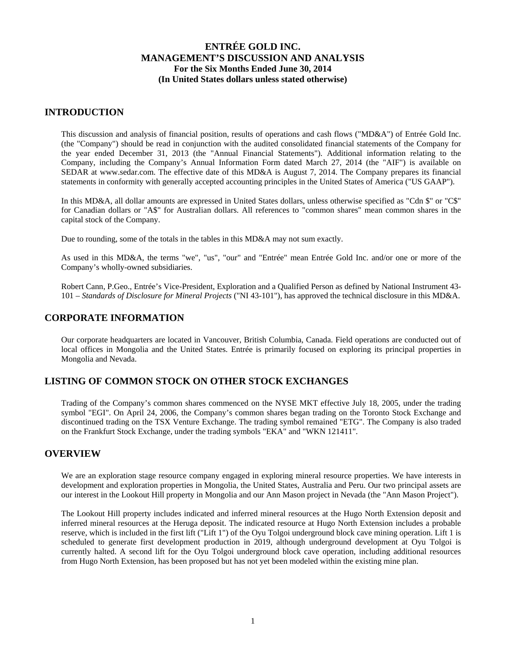### **INTRODUCTION**

This discussion and analysis of financial position, results of operations and cash flows ("MD&A") of Entrée Gold Inc. (the "Company") should be read in conjunction with the audited consolidated financial statements of the Company for the year ended December 31, 2013 (the "Annual Financial Statements"). Additional information relating to the Company, including the Company's Annual Information Form dated March 27, 2014 (the "AIF") is available on SEDAR at www.sedar.com. The effective date of this MD&A is August 7, 2014. The Company prepares its financial statements in conformity with generally accepted accounting principles in the United States of America ("US GAAP").

In this MD&A, all dollar amounts are expressed in United States dollars, unless otherwise specified as "Cdn \$" or "C\$" for Canadian dollars or "A\$" for Australian dollars. All references to "common shares" mean common shares in the capital stock of the Company.

Due to rounding, some of the totals in the tables in this MD&A may not sum exactly.

As used in this MD&A, the terms "we", "us", "our" and "Entrée" mean Entrée Gold Inc. and/or one or more of the Company's wholly-owned subsidiaries.

Robert Cann, P.Geo., Entrée's Vice-President, Exploration and a Qualified Person as defined by National Instrument 43- 101 – *Standards of Disclosure for Mineral Projects* ("NI 43-101"), has approved the technical disclosure in this MD&A.

### **CORPORATE INFORMATION**

Our corporate headquarters are located in Vancouver, British Columbia, Canada. Field operations are conducted out of local offices in Mongolia and the United States. Entrée is primarily focused on exploring its principal properties in Mongolia and Nevada.

## **LISTING OF COMMON STOCK ON OTHER STOCK EXCHANGES**

Trading of the Company's common shares commenced on the NYSE MKT effective July 18, 2005, under the trading symbol "EGI". On April 24, 2006, the Company's common shares began trading on the Toronto Stock Exchange and discontinued trading on the TSX Venture Exchange. The trading symbol remained "ETG". The Company is also traded on the Frankfurt Stock Exchange, under the trading symbols "EKA" and "WKN 121411".

#### **OVERVIEW**

We are an exploration stage resource company engaged in exploring mineral resource properties. We have interests in development and exploration properties in Mongolia, the United States, Australia and Peru. Our two principal assets are our interest in the Lookout Hill property in Mongolia and our Ann Mason project in Nevada (the "Ann Mason Project").

The Lookout Hill property includes indicated and inferred mineral resources at the Hugo North Extension deposit and inferred mineral resources at the Heruga deposit. The indicated resource at Hugo North Extension includes a probable reserve, which is included in the first lift ("Lift 1") of the Oyu Tolgoi underground block cave mining operation. Lift 1 is scheduled to generate first development production in 2019, although underground development at Oyu Tolgoi is currently halted. A second lift for the Oyu Tolgoi underground block cave operation, including additional resources from Hugo North Extension, has been proposed but has not yet been modeled within the existing mine plan.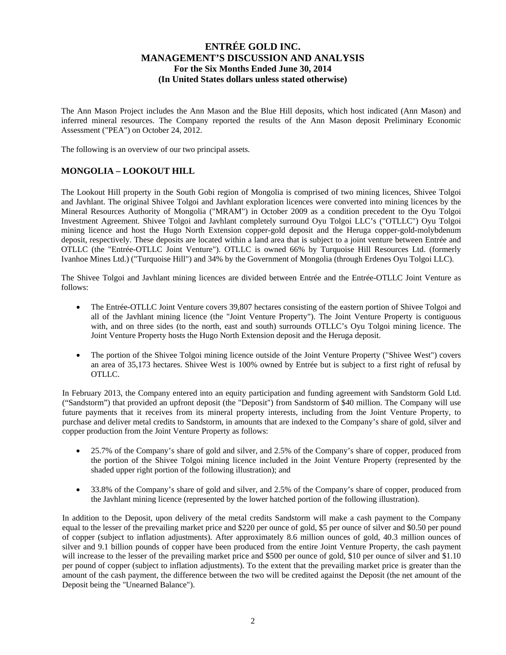The Ann Mason Project includes the Ann Mason and the Blue Hill deposits, which host indicated (Ann Mason) and inferred mineral resources. The Company reported the results of the Ann Mason deposit Preliminary Economic Assessment ("PEA") on October 24, 2012.

The following is an overview of our two principal assets.

## **MONGOLIA – LOOKOUT HILL**

The Lookout Hill property in the South Gobi region of Mongolia is comprised of two mining licences, Shivee Tolgoi and Javhlant. The original Shivee Tolgoi and Javhlant exploration licences were converted into mining licences by the Mineral Resources Authority of Mongolia ("MRAM") in October 2009 as a condition precedent to the Oyu Tolgoi Investment Agreement. Shivee Tolgoi and Javhlant completely surround Oyu Tolgoi LLC's ("OTLLC") Oyu Tolgoi mining licence and host the Hugo North Extension copper-gold deposit and the Heruga copper-gold-molybdenum deposit, respectively. These deposits are located within a land area that is subject to a joint venture between Entrée and OTLLC (the "Entrée-OTLLC Joint Venture"). OTLLC is owned 66% by Turquoise Hill Resources Ltd. (formerly Ivanhoe Mines Ltd.) ("Turquoise Hill") and 34% by the Government of Mongolia (through Erdenes Oyu Tolgoi LLC).

The Shivee Tolgoi and Javhlant mining licences are divided between Entrée and the Entrée-OTLLC Joint Venture as follows:

- The Entrée-OTLLC Joint Venture covers 39,807 hectares consisting of the eastern portion of Shivee Tolgoi and all of the Javhlant mining licence (the "Joint Venture Property"). The Joint Venture Property is contiguous with, and on three sides (to the north, east and south) surrounds OTLLC's Oyu Tolgoi mining licence. The Joint Venture Property hosts the Hugo North Extension deposit and the Heruga deposit.
- The portion of the Shivee Tolgoi mining licence outside of the Joint Venture Property ("Shivee West") covers an area of 35,173 hectares. Shivee West is 100% owned by Entrée but is subject to a first right of refusal by OTLLC.

In February 2013, the Company entered into an equity participation and funding agreement with Sandstorm Gold Ltd. ("Sandstorm") that provided an upfront deposit (the "Deposit") from Sandstorm of \$40 million. The Company will use future payments that it receives from its mineral property interests, including from the Joint Venture Property, to purchase and deliver metal credits to Sandstorm, in amounts that are indexed to the Company's share of gold, silver and copper production from the Joint Venture Property as follows:

- 25.7% of the Company's share of gold and silver, and 2.5% of the Company's share of copper, produced from the portion of the Shivee Tolgoi mining licence included in the Joint Venture Property (represented by the shaded upper right portion of the following illustration); and
- 33.8% of the Company's share of gold and silver, and 2.5% of the Company's share of copper, produced from the Javhlant mining licence (represented by the lower hatched portion of the following illustration).

In addition to the Deposit, upon delivery of the metal credits Sandstorm will make a cash payment to the Company equal to the lesser of the prevailing market price and \$220 per ounce of gold, \$5 per ounce of silver and \$0.50 per pound of copper (subject to inflation adjustments). After approximately 8.6 million ounces of gold, 40.3 million ounces of silver and 9.1 billion pounds of copper have been produced from the entire Joint Venture Property, the cash payment will increase to the lesser of the prevailing market price and \$500 per ounce of gold, \$10 per ounce of silver and \$1.10 per pound of copper (subject to inflation adjustments). To the extent that the prevailing market price is greater than the amount of the cash payment, the difference between the two will be credited against the Deposit (the net amount of the Deposit being the "Unearned Balance").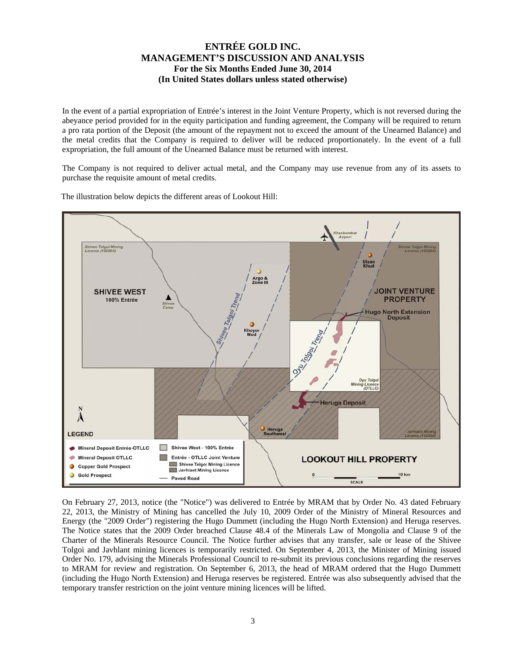In the event of a partial expropriation of Entrée's interest in the Joint Venture Property, which is not reversed during the abeyance period provided for in the equity participation and funding agreement, the Company will be required to return a pro rata portion of the Deposit (the amount of the repayment not to exceed the amount of the Unearned Balance) and the metal credits that the Company is required to deliver will be reduced proportionately. In the event of a full expropriation, the full amount of the Unearned Balance must be returned with interest.

The Company is not required to deliver actual metal, and the Company may use revenue from any of its assets to purchase the requisite amount of metal credits.



The illustration below depicts the different areas of Lookout Hill:

On February 27, 2013, notice (the "Notice") was delivered to Entrée by MRAM that by Order No. 43 dated February 22, 2013, the Ministry of Mining has cancelled the July 10, 2009 Order of the Ministry of Mineral Resources and Energy (the "2009 Order") registering the Hugo Dummett (including the Hugo North Extension) and Heruga reserves. The Notice states that the 2009 Order breached Clause 48.4 of the Minerals Law of Mongolia and Clause 9 of the Charter of the Minerals Resource Council. The Notice further advises that any transfer, sale or lease of the Shivee Tolgoi and Javhlant mining licences is temporarily restricted. On September 4, 2013, the Minister of Mining issued Order No. 179, advising the Minerals Professional Council to re-submit its previous conclusions regarding the reserves to MRAM for review and registration. On September 6, 2013, the head of MRAM ordered that the Hugo Dummett (including the Hugo North Extension) and Heruga reserves be registered. Entrée was also subsequently advised that the temporary transfer restriction on the joint venture mining licences will be lifted.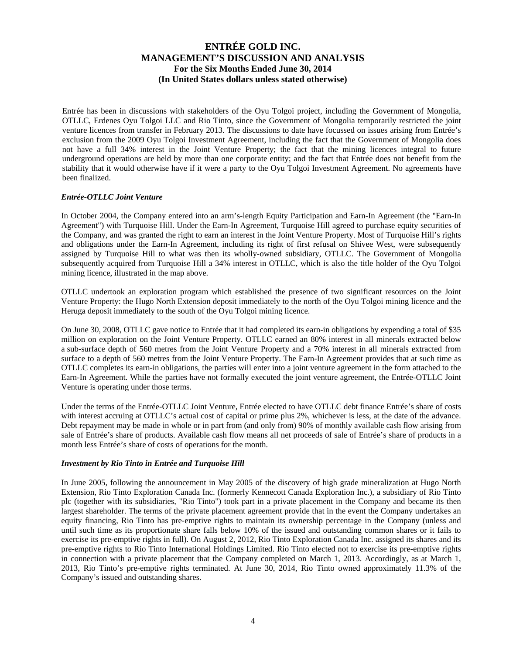Entrée has been in discussions with stakeholders of the Oyu Tolgoi project, including the Government of Mongolia, OTLLC, Erdenes Oyu Tolgoi LLC and Rio Tinto, since the Government of Mongolia temporarily restricted the joint venture licences from transfer in February 2013. The discussions to date have focussed on issues arising from Entrée's exclusion from the 2009 Oyu Tolgoi Investment Agreement, including the fact that the Government of Mongolia does not have a full 34% interest in the Joint Venture Property; the fact that the mining licences integral to future underground operations are held by more than one corporate entity; and the fact that Entrée does not benefit from the stability that it would otherwise have if it were a party to the Oyu Tolgoi Investment Agreement. No agreements have been finalized.

#### *Entrée-OTLLC Joint Venture*

In October 2004, the Company entered into an arm's-length Equity Participation and Earn-In Agreement (the "Earn-In Agreement") with Turquoise Hill. Under the Earn-In Agreement, Turquoise Hill agreed to purchase equity securities of the Company, and was granted the right to earn an interest in the Joint Venture Property. Most of Turquoise Hill's rights and obligations under the Earn-In Agreement, including its right of first refusal on Shivee West, were subsequently assigned by Turquoise Hill to what was then its wholly-owned subsidiary, OTLLC. The Government of Mongolia subsequently acquired from Turquoise Hill a 34% interest in OTLLC, which is also the title holder of the Oyu Tolgoi mining licence, illustrated in the map above.

OTLLC undertook an exploration program which established the presence of two significant resources on the Joint Venture Property: the Hugo North Extension deposit immediately to the north of the Oyu Tolgoi mining licence and the Heruga deposit immediately to the south of the Oyu Tolgoi mining licence.

On June 30, 2008, OTLLC gave notice to Entrée that it had completed its earn-in obligations by expending a total of \$35 million on exploration on the Joint Venture Property. OTLLC earned an 80% interest in all minerals extracted below a sub-surface depth of 560 metres from the Joint Venture Property and a 70% interest in all minerals extracted from surface to a depth of 560 metres from the Joint Venture Property. The Earn-In Agreement provides that at such time as OTLLC completes its earn-in obligations, the parties will enter into a joint venture agreement in the form attached to the Earn-In Agreement. While the parties have not formally executed the joint venture agreement, the Entrée-OTLLC Joint Venture is operating under those terms.

Under the terms of the Entrée-OTLLC Joint Venture, Entrée elected to have OTLLC debt finance Entrée's share of costs with interest accruing at OTLLC's actual cost of capital or prime plus 2%, whichever is less, at the date of the advance. Debt repayment may be made in whole or in part from (and only from) 90% of monthly available cash flow arising from sale of Entrée's share of products. Available cash flow means all net proceeds of sale of Entrée's share of products in a month less Entrée's share of costs of operations for the month.

#### *Investment by Rio Tinto in Entrée and Turquoise Hill*

In June 2005, following the announcement in May 2005 of the discovery of high grade mineralization at Hugo North Extension, Rio Tinto Exploration Canada Inc. (formerly Kennecott Canada Exploration Inc.), a subsidiary of Rio Tinto plc (together with its subsidiaries, "Rio Tinto") took part in a private placement in the Company and became its then largest shareholder. The terms of the private placement agreement provide that in the event the Company undertakes an equity financing, Rio Tinto has pre-emptive rights to maintain its ownership percentage in the Company (unless and until such time as its proportionate share falls below 10% of the issued and outstanding common shares or it fails to exercise its pre-emptive rights in full). On August 2, 2012, Rio Tinto Exploration Canada Inc. assigned its shares and its pre-emptive rights to Rio Tinto International Holdings Limited. Rio Tinto elected not to exercise its pre-emptive rights in connection with a private placement that the Company completed on March 1, 2013. Accordingly, as at March 1, 2013, Rio Tinto's pre-emptive rights terminated. At June 30, 2014, Rio Tinto owned approximately 11.3% of the Company's issued and outstanding shares.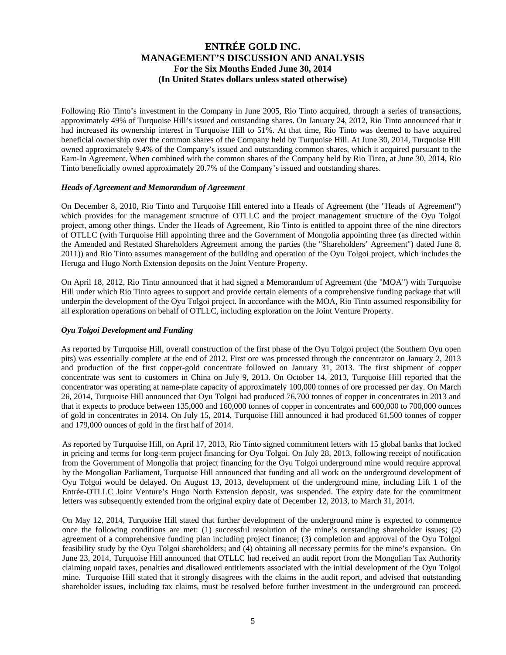Following Rio Tinto's investment in the Company in June 2005, Rio Tinto acquired, through a series of transactions, approximately 49% of Turquoise Hill's issued and outstanding shares. On January 24, 2012, Rio Tinto announced that it had increased its ownership interest in Turquoise Hill to 51%. At that time, Rio Tinto was deemed to have acquired beneficial ownership over the common shares of the Company held by Turquoise Hill. At June 30, 2014, Turquoise Hill owned approximately 9.4% of the Company's issued and outstanding common shares, which it acquired pursuant to the Earn-In Agreement. When combined with the common shares of the Company held by Rio Tinto, at June 30, 2014, Rio Tinto beneficially owned approximately 20.7% of the Company's issued and outstanding shares.

#### *Heads of Agreement and Memorandum of Agreement*

On December 8, 2010, Rio Tinto and Turquoise Hill entered into a Heads of Agreement (the "Heads of Agreement") which provides for the management structure of OTLLC and the project management structure of the Oyu Tolgoi project, among other things. Under the Heads of Agreement, Rio Tinto is entitled to appoint three of the nine directors of OTLLC (with Turquoise Hill appointing three and the Government of Mongolia appointing three (as directed within the Amended and Restated Shareholders Agreement among the parties (the "Shareholders' Agreement") dated June 8, 2011)) and Rio Tinto assumes management of the building and operation of the Oyu Tolgoi project, which includes the Heruga and Hugo North Extension deposits on the Joint Venture Property.

On April 18, 2012, Rio Tinto announced that it had signed a Memorandum of Agreement (the "MOA") with Turquoise Hill under which Rio Tinto agrees to support and provide certain elements of a comprehensive funding package that will underpin the development of the Oyu Tolgoi project. In accordance with the MOA, Rio Tinto assumed responsibility for all exploration operations on behalf of OTLLC, including exploration on the Joint Venture Property.

#### *Oyu Tolgoi Development and Funding*

As reported by Turquoise Hill, overall construction of the first phase of the Oyu Tolgoi project (the Southern Oyu open pits) was essentially complete at the end of 2012. First ore was processed through the concentrator on January 2, 2013 and production of the first copper-gold concentrate followed on January 31, 2013. The first shipment of copper concentrate was sent to customers in China on July 9, 2013. On October 14, 2013, Turquoise Hill reported that the concentrator was operating at name-plate capacity of approximately 100,000 tonnes of ore processed per day. On March 26, 2014, Turquoise Hill announced that Oyu Tolgoi had produced 76,700 tonnes of copper in concentrates in 2013 and that it expects to produce between 135,000 and 160,000 tonnes of copper in concentrates and 600,000 to 700,000 ounces of gold in concentrates in 2014. On July 15, 2014, Turquoise Hill announced it had produced 61,500 tonnes of copper and 179,000 ounces of gold in the first half of 2014.

As reported by Turquoise Hill, on April 17, 2013, Rio Tinto signed commitment letters with 15 global banks that locked in pricing and terms for long-term project financing for Oyu Tolgoi. On July 28, 2013, following receipt of notification from the Government of Mongolia that project financing for the Oyu Tolgoi underground mine would require approval by the Mongolian Parliament, Turquoise Hill announced that funding and all work on the underground development of Oyu Tolgoi would be delayed. On August 13, 2013, development of the underground mine, including Lift 1 of the Entrée-OTLLC Joint Venture's Hugo North Extension deposit, was suspended. The expiry date for the commitment letters was subsequently extended from the original expiry date of December 12, 2013, to March 31, 2014.

On May 12, 2014, Turquoise Hill stated that further development of the underground mine is expected to commence once the following conditions are met: (1) successful resolution of the mine's outstanding shareholder issues; (2) agreement of a comprehensive funding plan including project finance; (3) completion and approval of the Oyu Tolgoi feasibility study by the Oyu Tolgoi shareholders; and (4) obtaining all necessary permits for the mine's expansion. On June 23, 2014, Turquoise Hill announced that OTLLC had received an audit report from the Mongolian Tax Authority claiming unpaid taxes, penalties and disallowed entitlements associated with the initial development of the Oyu Tolgoi mine. Turquoise Hill stated that it strongly disagrees with the claims in the audit report, and advised that outstanding shareholder issues, including tax claims, must be resolved before further investment in the underground can proceed.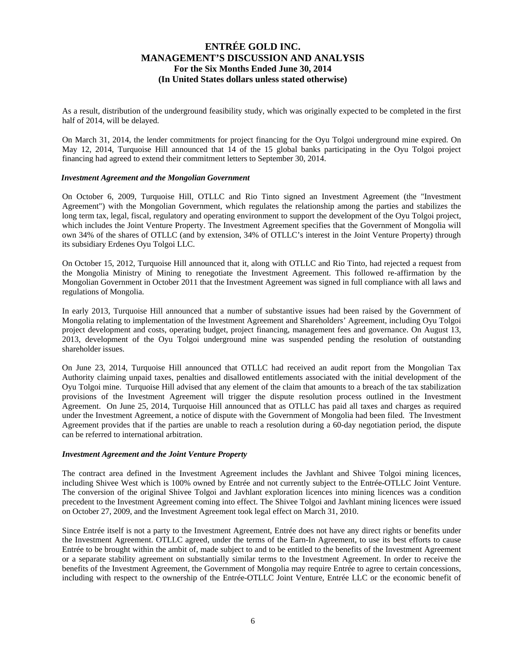As a result, distribution of the underground feasibility study, which was originally expected to be completed in the first half of 2014, will be delayed.

On March 31, 2014, the lender commitments for project financing for the Oyu Tolgoi underground mine expired. On May 12, 2014, Turquoise Hill announced that 14 of the 15 global banks participating in the Oyu Tolgoi project financing had agreed to extend their commitment letters to September 30, 2014.

#### *Investment Agreement and the Mongolian Government*

On October 6, 2009, Turquoise Hill, OTLLC and Rio Tinto signed an Investment Agreement (the "Investment Agreement") with the Mongolian Government, which regulates the relationship among the parties and stabilizes the long term tax, legal, fiscal, regulatory and operating environment to support the development of the Oyu Tolgoi project, which includes the Joint Venture Property. The Investment Agreement specifies that the Government of Mongolia will own 34% of the shares of OTLLC (and by extension, 34% of OTLLC's interest in the Joint Venture Property) through its subsidiary Erdenes Oyu Tolgoi LLC.

On October 15, 2012, Turquoise Hill announced that it, along with OTLLC and Rio Tinto, had rejected a request from the Mongolia Ministry of Mining to renegotiate the Investment Agreement. This followed re-affirmation by the Mongolian Government in October 2011 that the Investment Agreement was signed in full compliance with all laws and regulations of Mongolia.

In early 2013, Turquoise Hill announced that a number of substantive issues had been raised by the Government of Mongolia relating to implementation of the Investment Agreement and Shareholders' Agreement, including Oyu Tolgoi project development and costs, operating budget, project financing, management fees and governance. On August 13, 2013, development of the Oyu Tolgoi underground mine was suspended pending the resolution of outstanding shareholder issues.

On June 23, 2014, Turquoise Hill announced that OTLLC had received an audit report from the Mongolian Tax Authority claiming unpaid taxes, penalties and disallowed entitlements associated with the initial development of the Oyu Tolgoi mine. Turquoise Hill advised that any element of the claim that amounts to a breach of the tax stabilization provisions of the Investment Agreement will trigger the dispute resolution process outlined in the Investment Agreement. On June 25, 2014, Turquoise Hill announced that as OTLLC has paid all taxes and charges as required under the Investment Agreement, a notice of dispute with the Government of Mongolia had been filed. The Investment Agreement provides that if the parties are unable to reach a resolution during a 60-day negotiation period, the dispute can be referred to international arbitration.

#### *Investment Agreement and the Joint Venture Property*

The contract area defined in the Investment Agreement includes the Javhlant and Shivee Tolgoi mining licences, including Shivee West which is 100% owned by Entrée and not currently subject to the Entrée-OTLLC Joint Venture. The conversion of the original Shivee Tolgoi and Javhlant exploration licences into mining licences was a condition precedent to the Investment Agreement coming into effect. The Shivee Tolgoi and Javhlant mining licences were issued on October 27, 2009, and the Investment Agreement took legal effect on March 31, 2010.

Since Entrée itself is not a party to the Investment Agreement, Entrée does not have any direct rights or benefits under the Investment Agreement. OTLLC agreed, under the terms of the Earn-In Agreement, to use its best efforts to cause Entrée to be brought within the ambit of, made subject to and to be entitled to the benefits of the Investment Agreement or a separate stability agreement on substantially similar terms to the Investment Agreement. In order to receive the benefits of the Investment Agreement, the Government of Mongolia may require Entrée to agree to certain concessions, including with respect to the ownership of the Entrée-OTLLC Joint Venture, Entrée LLC or the economic benefit of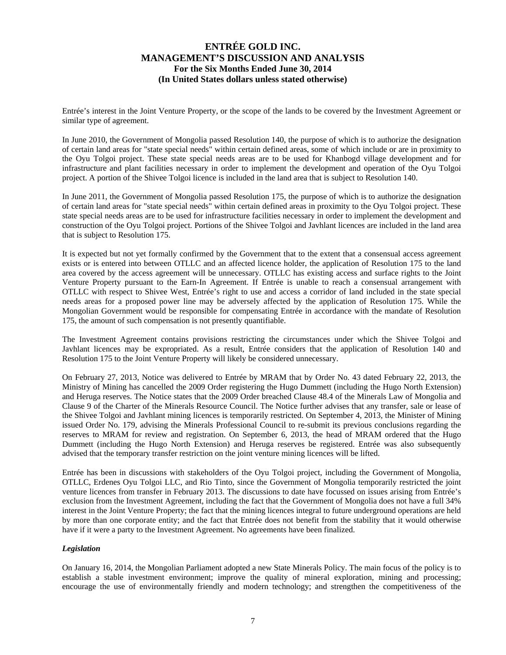Entrée's interest in the Joint Venture Property, or the scope of the lands to be covered by the Investment Agreement or similar type of agreement.

In June 2010, the Government of Mongolia passed Resolution 140, the purpose of which is to authorize the designation of certain land areas for "state special needs" within certain defined areas, some of which include or are in proximity to the Oyu Tolgoi project. These state special needs areas are to be used for Khanbogd village development and for infrastructure and plant facilities necessary in order to implement the development and operation of the Oyu Tolgoi project. A portion of the Shivee Tolgoi licence is included in the land area that is subject to Resolution 140.

In June 2011, the Government of Mongolia passed Resolution 175, the purpose of which is to authorize the designation of certain land areas for "state special needs" within certain defined areas in proximity to the Oyu Tolgoi project. These state special needs areas are to be used for infrastructure facilities necessary in order to implement the development and construction of the Oyu Tolgoi project. Portions of the Shivee Tolgoi and Javhlant licences are included in the land area that is subject to Resolution 175.

It is expected but not yet formally confirmed by the Government that to the extent that a consensual access agreement exists or is entered into between OTLLC and an affected licence holder, the application of Resolution 175 to the land area covered by the access agreement will be unnecessary. OTLLC has existing access and surface rights to the Joint Venture Property pursuant to the Earn-In Agreement. If Entrée is unable to reach a consensual arrangement with OTLLC with respect to Shivee West, Entrée's right to use and access a corridor of land included in the state special needs areas for a proposed power line may be adversely affected by the application of Resolution 175. While the Mongolian Government would be responsible for compensating Entrée in accordance with the mandate of Resolution 175, the amount of such compensation is not presently quantifiable.

The Investment Agreement contains provisions restricting the circumstances under which the Shivee Tolgoi and Javhlant licences may be expropriated. As a result, Entrée considers that the application of Resolution 140 and Resolution 175 to the Joint Venture Property will likely be considered unnecessary.

On February 27, 2013, Notice was delivered to Entrée by MRAM that by Order No. 43 dated February 22, 2013, the Ministry of Mining has cancelled the 2009 Order registering the Hugo Dummett (including the Hugo North Extension) and Heruga reserves. The Notice states that the 2009 Order breached Clause 48.4 of the Minerals Law of Mongolia and Clause 9 of the Charter of the Minerals Resource Council. The Notice further advises that any transfer, sale or lease of the Shivee Tolgoi and Javhlant mining licences is temporarily restricted. On September 4, 2013, the Minister of Mining issued Order No. 179, advising the Minerals Professional Council to re-submit its previous conclusions regarding the reserves to MRAM for review and registration. On September 6, 2013, the head of MRAM ordered that the Hugo Dummett (including the Hugo North Extension) and Heruga reserves be registered. Entrée was also subsequently advised that the temporary transfer restriction on the joint venture mining licences will be lifted.

Entrée has been in discussions with stakeholders of the Oyu Tolgoi project, including the Government of Mongolia, OTLLC, Erdenes Oyu Tolgoi LLC, and Rio Tinto, since the Government of Mongolia temporarily restricted the joint venture licences from transfer in February 2013. The discussions to date have focussed on issues arising from Entrée's exclusion from the Investment Agreement, including the fact that the Government of Mongolia does not have a full 34% interest in the Joint Venture Property; the fact that the mining licences integral to future underground operations are held by more than one corporate entity; and the fact that Entrée does not benefit from the stability that it would otherwise have if it were a party to the Investment Agreement. No agreements have been finalized.

#### *Legislation*

On January 16, 2014, the Mongolian Parliament adopted a new State Minerals Policy. The main focus of the policy is to establish a stable investment environment; improve the quality of mineral exploration, mining and processing; encourage the use of environmentally friendly and modern technology; and strengthen the competitiveness of the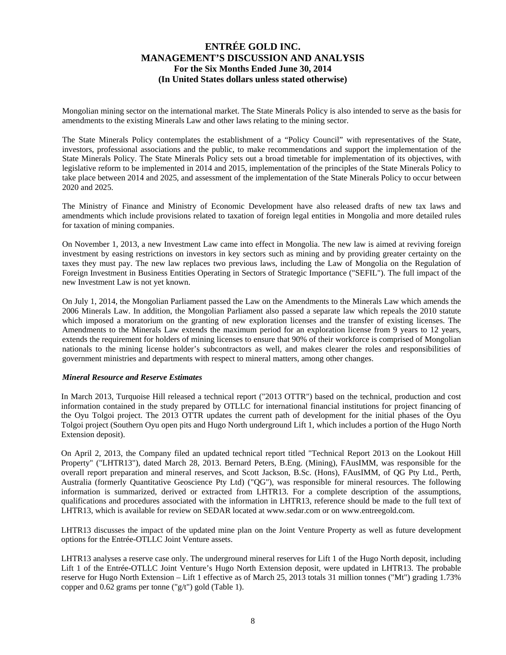Mongolian mining sector on the international market. The State Minerals Policy is also intended to serve as the basis for amendments to the existing Minerals Law and other laws relating to the mining sector.

The State Minerals Policy contemplates the establishment of a "Policy Council" with representatives of the State, investors, professional associations and the public, to make recommendations and support the implementation of the State Minerals Policy. The State Minerals Policy sets out a broad timetable for implementation of its objectives, with legislative reform to be implemented in 2014 and 2015, implementation of the principles of the State Minerals Policy to take place between 2014 and 2025, and assessment of the implementation of the State Minerals Policy to occur between 2020 and 2025.

The Ministry of Finance and Ministry of Economic Development have also released drafts of new tax laws and amendments which include provisions related to taxation of foreign legal entities in Mongolia and more detailed rules for taxation of mining companies.

On November 1, 2013, a new Investment Law came into effect in Mongolia. The new law is aimed at reviving foreign investment by easing restrictions on investors in key sectors such as mining and by providing greater certainty on the taxes they must pay. The new law replaces two previous laws, including the Law of Mongolia on the Regulation of Foreign Investment in Business Entities Operating in Sectors of Strategic Importance ("SEFIL"). The full impact of the new Investment Law is not yet known.

On July 1, 2014, the Mongolian Parliament passed the Law on the Amendments to the Minerals Law which amends the 2006 Minerals Law. In addition, the Mongolian Parliament also passed a separate law which repeals the 2010 statute which imposed a moratorium on the granting of new exploration licenses and the transfer of existing licenses. The Amendments to the Minerals Law extends the maximum period for an exploration license from 9 years to 12 years, extends the requirement for holders of mining licenses to ensure that 90% of their workforce is comprised of Mongolian nationals to the mining license holder's subcontractors as well, and makes clearer the roles and responsibilities of government ministries and departments with respect to mineral matters, among other changes.

#### *Mineral Resource and Reserve Estimates*

In March 2013, Turquoise Hill released a technical report ("2013 OTTR") based on the technical, production and cost information contained in the study prepared by OTLLC for international financial institutions for project financing of the Oyu Tolgoi project. The 2013 OTTR updates the current path of development for the initial phases of the Oyu Tolgoi project (Southern Oyu open pits and Hugo North underground Lift 1, which includes a portion of the Hugo North Extension deposit).

On April 2, 2013, the Company filed an updated technical report titled "Technical Report 2013 on the Lookout Hill Property" ("LHTR13"), dated March 28, 2013. Bernard Peters, B.Eng. (Mining), FAusIMM, was responsible for the overall report preparation and mineral reserves, and Scott Jackson, B.Sc. (Hons), FAusIMM, of QG Pty Ltd., Perth, Australia (formerly Quantitative Geoscience Pty Ltd) ("QG"), was responsible for mineral resources. The following information is summarized, derived or extracted from LHTR13. For a complete description of the assumptions, qualifications and procedures associated with the information in LHTR13, reference should be made to the full text of LHTR13, which is available for review on SEDAR located at www.sedar.com or on www.entreegold.com.

LHTR13 discusses the impact of the updated mine plan on the Joint Venture Property as well as future development options for the Entrée-OTLLC Joint Venture assets.

LHTR13 analyses a reserve case only. The underground mineral reserves for Lift 1 of the Hugo North deposit, including Lift 1 of the Entrée-OTLLC Joint Venture's Hugo North Extension deposit, were updated in LHTR13. The probable reserve for Hugo North Extension – Lift 1 effective as of March 25, 2013 totals 31 million tonnes ("Mt") grading 1.73% copper and 0.62 grams per tonne ("g/t") gold (Table 1).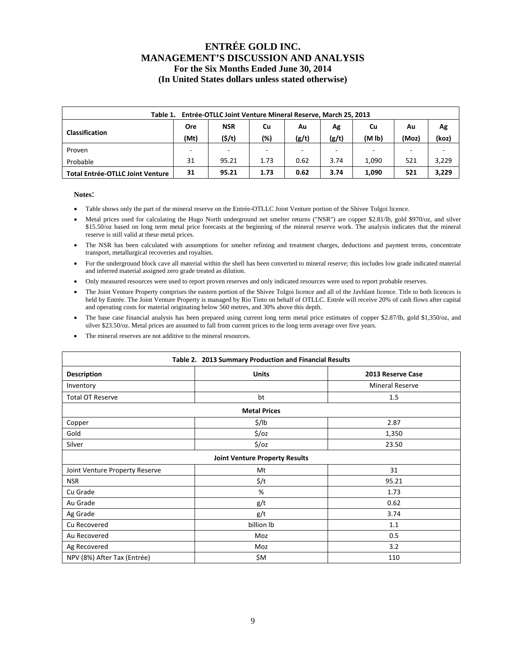| Entrée-OTLLC Joint Venture Mineral Reserve, March 25, 2013<br>Table 1. |            |                        |                          |       |       |                    |       |       |  |  |  |
|------------------------------------------------------------------------|------------|------------------------|--------------------------|-------|-------|--------------------|-------|-------|--|--|--|
|                                                                        | <b>Ore</b> | <b>NSR</b><br>Cu<br>Au |                          | Ag    | Cu    | Au                 | Ag    |       |  |  |  |
| <b>Classification</b>                                                  | (Mt)       | (5/t)                  | (%)                      | (g/t) | (g/t) | (M <sub>lb</sub> ) | (Moz) | (koz) |  |  |  |
| Proven                                                                 |            | $\sim$                 | $\overline{\phantom{a}}$ |       |       |                    |       |       |  |  |  |
| Probable                                                               | 31         | 95.21                  | 1.73                     | 0.62  | 3.74  | 1.090              | 521   | 3,229 |  |  |  |
| <b>Total Entrée-OTLLC Joint Venture</b>                                | 31         | 95.21                  | 1.73                     | 0.62  | 3.74  | 1,090              | 521   | 3,229 |  |  |  |

#### **Notes**:

- Table shows only the part of the mineral reserve on the Entrée-OTLLC Joint Venture portion of the Shivee Tolgoi licence.
- Metal prices used for calculating the Hugo North underground net smelter returns ("NSR") are copper \$2.81/lb, gold \$970/oz, and silver \$15.50/oz based on long term metal price forecasts at the beginning of the mineral reserve work. The analysis indicates that the mineral reserve is still valid at these metal prices.
- The NSR has been calculated with assumptions for smelter refining and treatment charges, deductions and payment terms, concentrate transport, metallurgical recoveries and royalties.
- For the underground block cave all material within the shell has been converted to mineral reserve; this includes low grade indicated material and inferred material assigned zero grade treated as dilution.
- Only measured resources were used to report proven reserves and only indicated resources were used to report probable reserves.
- The Joint Venture Property comprises the eastern portion of the Shivee Tolgoi licence and all of the Javhlant licence. Title to both licences is held by Entrée. The Joint Venture Property is managed by Rio Tinto on behalf of OTLLC. Entrée will receive 20% of cash flows after capital and operating costs for material originating below 560 metres, and 30% above this depth.
- The base case financial analysis has been prepared using current long term metal price estimates of copper \$2.87/lb, gold \$1,350/oz, and silver \$23.50/oz. Metal prices are assumed to fall from current prices to the long term average over five years.
- The mineral reserves are not additive to the mineral resources.

|                                       | Table 2. 2013 Summary Production and Financial Results |                        |  |  |  |  |  |  |  |  |
|---------------------------------------|--------------------------------------------------------|------------------------|--|--|--|--|--|--|--|--|
| <b>Description</b>                    | <b>Units</b>                                           | 2013 Reserve Case      |  |  |  |  |  |  |  |  |
| Inventory                             |                                                        | <b>Mineral Reserve</b> |  |  |  |  |  |  |  |  |
| <b>Total OT Reserve</b>               | bt                                                     | 1.5                    |  |  |  |  |  |  |  |  |
|                                       | <b>Metal Prices</b>                                    |                        |  |  |  |  |  |  |  |  |
| Copper                                | \$/lb                                                  | 2.87                   |  |  |  |  |  |  |  |  |
| Gold                                  | $\frac{1}{2}$ /0z                                      | 1,350                  |  |  |  |  |  |  |  |  |
| Silver                                | $\frac{1}{2}$ /oz                                      | 23.50                  |  |  |  |  |  |  |  |  |
| <b>Joint Venture Property Results</b> |                                                        |                        |  |  |  |  |  |  |  |  |
| Joint Venture Property Reserve        | Mt                                                     | 31                     |  |  |  |  |  |  |  |  |
| <b>NSR</b>                            | $\frac{2}{3}$ /t                                       | 95.21                  |  |  |  |  |  |  |  |  |
| Cu Grade                              | %                                                      | 1.73                   |  |  |  |  |  |  |  |  |
| Au Grade                              | g/t                                                    | 0.62                   |  |  |  |  |  |  |  |  |
| Ag Grade                              | g/t                                                    | 3.74                   |  |  |  |  |  |  |  |  |
| Cu Recovered                          | billion lb                                             | 1.1                    |  |  |  |  |  |  |  |  |
| Au Recovered                          | Moz                                                    | 0.5                    |  |  |  |  |  |  |  |  |
| Ag Recovered                          | Moz                                                    | 3.2                    |  |  |  |  |  |  |  |  |
| NPV (8%) After Tax (Entrée)           | \$M                                                    | 110                    |  |  |  |  |  |  |  |  |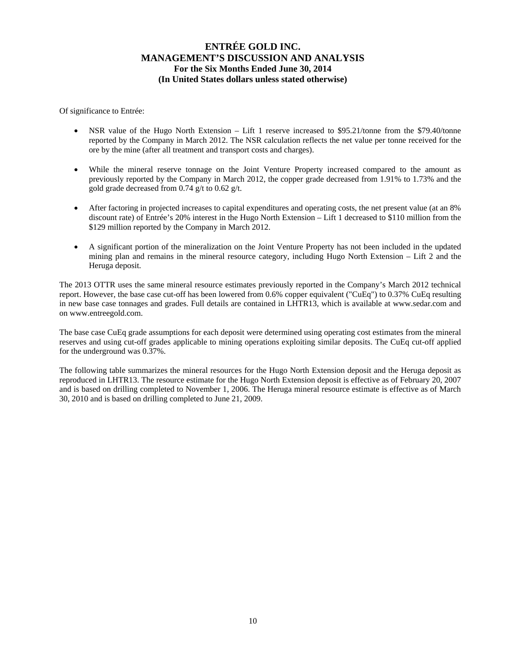Of significance to Entrée:

- NSR value of the Hugo North Extension Lift 1 reserve increased to \$95.21/tonne from the \$79.40/tonne reported by the Company in March 2012. The NSR calculation reflects the net value per tonne received for the ore by the mine (after all treatment and transport costs and charges).
- While the mineral reserve tonnage on the Joint Venture Property increased compared to the amount as previously reported by the Company in March 2012, the copper grade decreased from 1.91% to 1.73% and the gold grade decreased from 0.74 g/t to 0.62 g/t.
- After factoring in projected increases to capital expenditures and operating costs, the net present value (at an 8% discount rate) of Entrée's 20% interest in the Hugo North Extension – Lift 1 decreased to \$110 million from the \$129 million reported by the Company in March 2012.
- A significant portion of the mineralization on the Joint Venture Property has not been included in the updated mining plan and remains in the mineral resource category, including Hugo North Extension – Lift 2 and the Heruga deposit.

The 2013 OTTR uses the same mineral resource estimates previously reported in the Company's March 2012 technical report. However, the base case cut-off has been lowered from 0.6% copper equivalent ("CuEq") to 0.37% CuEq resulting in new base case tonnages and grades. Full details are contained in LHTR13, which is available at www.sedar.com and on www.entreegold.com.

The base case CuEq grade assumptions for each deposit were determined using operating cost estimates from the mineral reserves and using cut-off grades applicable to mining operations exploiting similar deposits. The CuEq cut-off applied for the underground was 0.37%.

The following table summarizes the mineral resources for the Hugo North Extension deposit and the Heruga deposit as reproduced in LHTR13. The resource estimate for the Hugo North Extension deposit is effective as of February 20, 2007 and is based on drilling completed to November 1, 2006. The Heruga mineral resource estimate is effective as of March 30, 2010 and is based on drilling completed to June 21, 2009.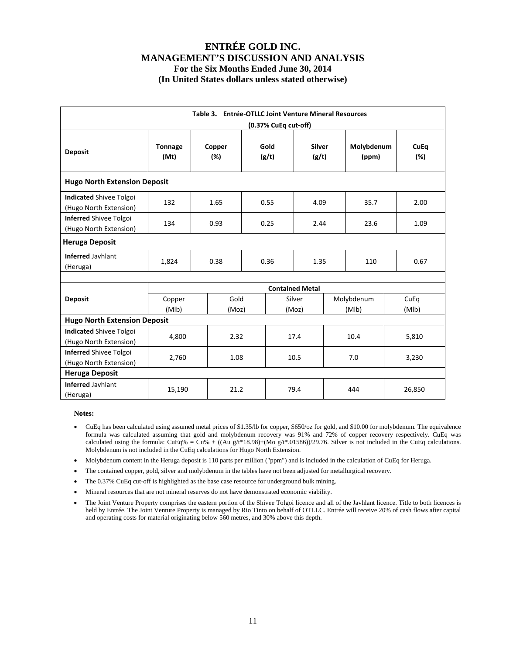|                                                          |                        | Table 3. Entrée-OTLLC Joint Venture Mineral Resources |      | (0.37% CuEq cut-off) |                        |  |                     |  |                    |
|----------------------------------------------------------|------------------------|-------------------------------------------------------|------|----------------------|------------------------|--|---------------------|--|--------------------|
| <b>Deposit</b>                                           | <b>Tonnage</b><br>(Mt) | Copper<br>$(\%)$                                      |      | Gold<br>(g/t)        | <b>Silver</b><br>(g/t) |  | Molybdenum<br>(ppm) |  | <b>CuEq</b><br>(%) |
| <b>Hugo North Extension Deposit</b>                      |                        |                                                       |      |                      |                        |  |                     |  |                    |
| <b>Indicated Shivee Tolgoi</b><br>(Hugo North Extension) | 132                    | 1.65                                                  |      | 0.55                 | 4.09                   |  | 35.7                |  | 2.00               |
| <b>Inferred Shivee Tolgoi</b><br>(Hugo North Extension)  | 134                    | 0.93                                                  |      | 0.25<br>2.44         |                        |  | 23.6                |  | 1.09               |
| <b>Heruga Deposit</b>                                    |                        |                                                       |      |                      |                        |  |                     |  |                    |
| <b>Inferred Javhlant</b><br>(Heruga)                     | 1,824                  | 0.38                                                  | 0.36 |                      | 1.35                   |  | 110                 |  | 0.67               |
|                                                          |                        |                                                       |      |                      | <b>Contained Metal</b> |  |                     |  |                    |
| <b>Deposit</b>                                           | Copper<br>(MIb)        | Gold<br>(Moz)                                         |      |                      | Silver<br>(Moz)        |  | Molybdenum<br>(MIb) |  | CuEq<br>(MIb)      |
| <b>Hugo North Extension Deposit</b>                      |                        |                                                       |      |                      |                        |  |                     |  |                    |
| <b>Indicated Shivee Tolgoi</b><br>(Hugo North Extension) | 4,800                  | 2.32                                                  |      |                      | 17.4                   |  | 10.4                |  | 5,810              |
| <b>Inferred Shivee Tolgoi</b><br>(Hugo North Extension)  | 2,760                  | 1.08                                                  |      |                      | 10.5                   |  | 7.0                 |  | 3,230              |
| <b>Heruga Deposit</b>                                    |                        |                                                       |      |                      |                        |  |                     |  |                    |
| <b>Inferred Javhlant</b><br>(Heruga)                     | 15,190                 | 21.2                                                  |      |                      | 79.4                   |  | 444                 |  | 26,850             |

#### **Notes:**

- CuEq has been calculated using assumed metal prices of \$1.35/lb for copper, \$650/oz for gold, and \$10.00 for molybdenum. The equivalence formula was calculated assuming that gold and molybdenum recovery was 91% and 72% of copper recovery respectively. CuEq was calculated using the formula: CuEq% = Cu% + ((Au g/t\*18.98)+(Mo g/t\*.01586))/29.76. Silver is not included in the CuEq calculations. Molybdenum is not included in the CuEq calculations for Hugo North Extension.
- Molybdenum content in the Heruga deposit is 110 parts per million ("ppm") and is included in the calculation of CuEq for Heruga.
- The contained copper, gold, silver and molybdenum in the tables have not been adjusted for metallurgical recovery.
- The 0.37% CuEq cut-off is highlighted as the base case resource for underground bulk mining.
- Mineral resources that are not mineral reserves do not have demonstrated economic viability.
- The Joint Venture Property comprises the eastern portion of the Shivee Tolgoi licence and all of the Javhlant licence. Title to both licences is held by Entrée. The Joint Venture Property is managed by Rio Tinto on behalf of OTLLC. Entrée will receive 20% of cash flows after capital and operating costs for material originating below 560 metres, and 30% above this depth.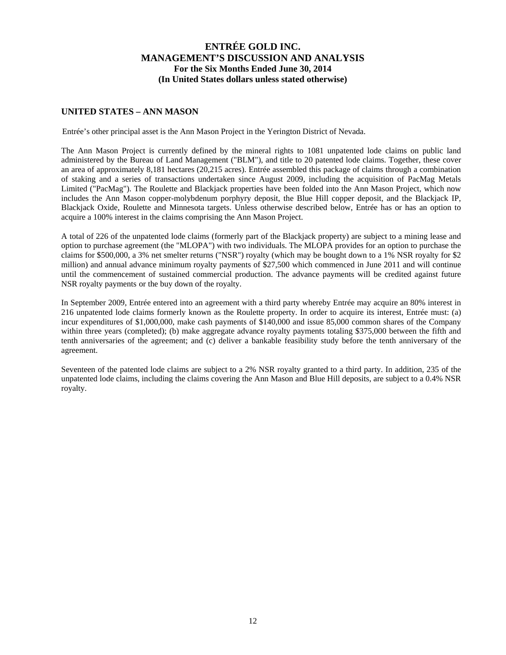### **UNITED STATES – ANN MASON**

Entrée's other principal asset is the Ann Mason Project in the Yerington District of Nevada.

The Ann Mason Project is currently defined by the mineral rights to 1081 unpatented lode claims on public land administered by the Bureau of Land Management ("BLM"), and title to 20 patented lode claims. Together, these cover an area of approximately 8,181 hectares (20,215 acres). Entrée assembled this package of claims through a combination of staking and a series of transactions undertaken since August 2009, including the acquisition of PacMag Metals Limited ("PacMag"). The Roulette and Blackjack properties have been folded into the Ann Mason Project, which now includes the Ann Mason copper-molybdenum porphyry deposit, the Blue Hill copper deposit, and the Blackjack IP, Blackjack Oxide, Roulette and Minnesota targets. Unless otherwise described below, Entrée has or has an option to acquire a 100% interest in the claims comprising the Ann Mason Project.

A total of 226 of the unpatented lode claims (formerly part of the Blackjack property) are subject to a mining lease and option to purchase agreement (the "MLOPA") with two individuals. The MLOPA provides for an option to purchase the claims for \$500,000, a 3% net smelter returns ("NSR") royalty (which may be bought down to a 1% NSR royalty for \$2 million) and annual advance minimum royalty payments of \$27,500 which commenced in June 2011 and will continue until the commencement of sustained commercial production. The advance payments will be credited against future NSR royalty payments or the buy down of the royalty.

In September 2009, Entrée entered into an agreement with a third party whereby Entrée may acquire an 80% interest in 216 unpatented lode claims formerly known as the Roulette property. In order to acquire its interest, Entrée must: (a) incur expenditures of \$1,000,000, make cash payments of \$140,000 and issue 85,000 common shares of the Company within three years (completed); (b) make aggregate advance royalty payments totaling \$375,000 between the fifth and tenth anniversaries of the agreement; and (c) deliver a bankable feasibility study before the tenth anniversary of the agreement.

Seventeen of the patented lode claims are subject to a 2% NSR royalty granted to a third party. In addition, 235 of the unpatented lode claims, including the claims covering the Ann Mason and Blue Hill deposits, are subject to a 0.4% NSR royalty.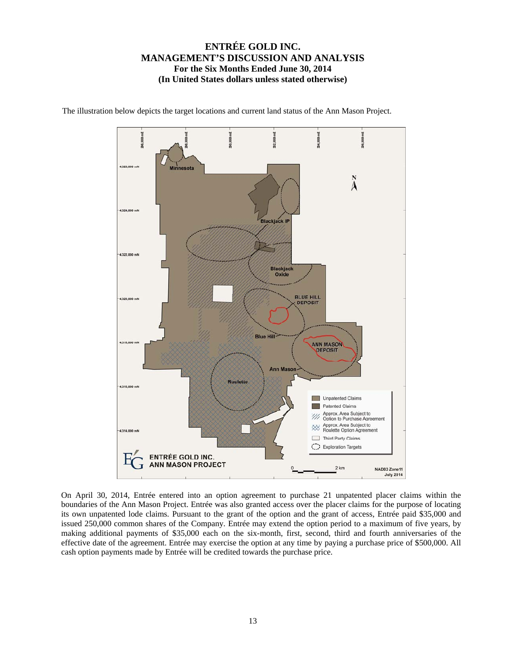

The illustration below depicts the target locations and current land status of the Ann Mason Project.

On April 30, 2014, Entrée entered into an option agreement to purchase 21 unpatented placer claims within the boundaries of the Ann Mason Project. Entrée was also granted access over the placer claims for the purpose of locating its own unpatented lode claims. Pursuant to the grant of the option and the grant of access, Entrée paid \$35,000 and issued 250,000 common shares of the Company. Entrée may extend the option period to a maximum of five years, by making additional payments of \$35,000 each on the six-month, first, second, third and fourth anniversaries of the effective date of the agreement. Entrée may exercise the option at any time by paying a purchase price of \$500,000. All cash option payments made by Entrée will be credited towards the purchase price.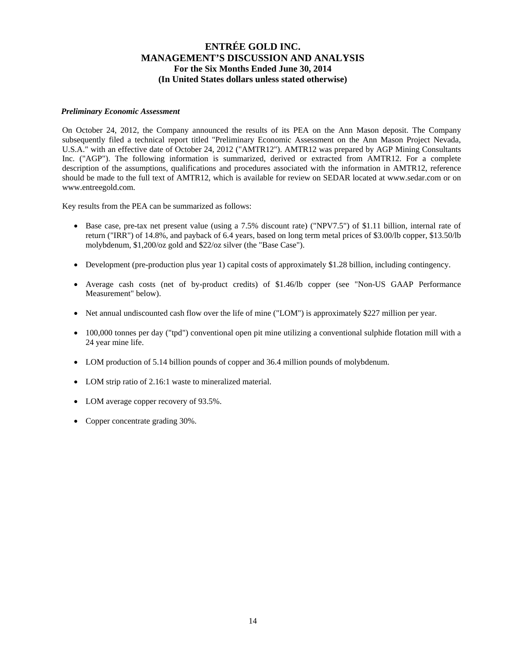#### *Preliminary Economic Assessment*

On October 24, 2012, the Company announced the results of its PEA on the Ann Mason deposit. The Company subsequently filed a technical report titled "Preliminary Economic Assessment on the Ann Mason Project Nevada, U.S.A." with an effective date of October 24, 2012 ("AMTR12"). AMTR12 was prepared by AGP Mining Consultants Inc. ("AGP"). The following information is summarized, derived or extracted from AMTR12. For a complete description of the assumptions, qualifications and procedures associated with the information in AMTR12, reference should be made to the full text of AMTR12, which is available for review on SEDAR located at www.sedar.com or on www.entreegold.com.

Key results from the PEA can be summarized as follows:

- Base case, pre-tax net present value (using a 7.5% discount rate) ("NPV7.5") of \$1.11 billion, internal rate of return ("IRR") of 14.8%, and payback of 6.4 years, based on long term metal prices of \$3.00/lb copper, \$13.50/lb molybdenum, \$1,200/oz gold and \$22/oz silver (the "Base Case").
- Development (pre-production plus year 1) capital costs of approximately \$1.28 billion, including contingency.
- Average cash costs (net of by-product credits) of \$1.46/lb copper (see "Non-US GAAP Performance Measurement" below).
- Net annual undiscounted cash flow over the life of mine ("LOM") is approximately \$227 million per year.
- 100,000 tonnes per day ("tpd") conventional open pit mine utilizing a conventional sulphide flotation mill with a 24 year mine life.
- LOM production of 5.14 billion pounds of copper and 36.4 million pounds of molybdenum.
- LOM strip ratio of 2.16:1 waste to mineralized material.
- LOM average copper recovery of 93.5%.
- Copper concentrate grading 30%.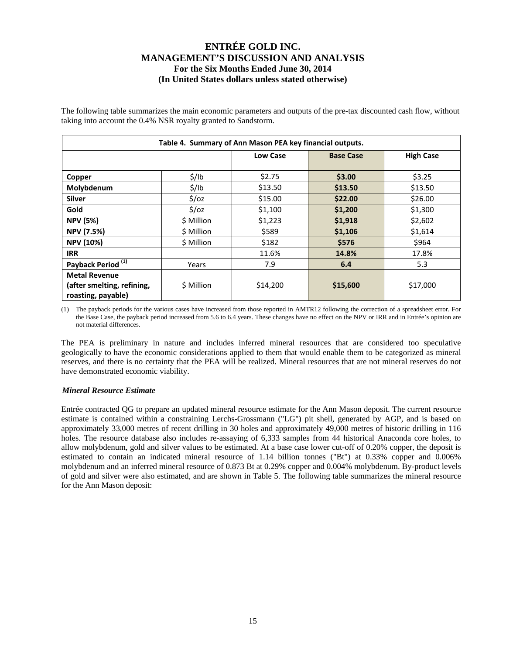The following table summarizes the main economic parameters and outputs of the pre-tax discounted cash flow, without taking into account the 0.4% NSR royalty granted to Sandstorm.

|                                                                          |                   | Table 4. Summary of Ann Mason PEA key financial outputs. |                  |                  |
|--------------------------------------------------------------------------|-------------------|----------------------------------------------------------|------------------|------------------|
|                                                                          |                   | <b>Low Case</b>                                          | <b>Base Case</b> | <b>High Case</b> |
| Copper                                                                   | $\frac{1}{2}$ /lb | \$2.75                                                   | \$3.00           | \$3.25           |
| Molybdenum                                                               | $\frac{1}{2}$ /lb | \$13.50                                                  | \$13.50          | \$13.50          |
| <b>Silver</b>                                                            | $\frac{2}{3}$ /0z | \$15.00                                                  | \$22.00          | \$26.00          |
| Gold                                                                     | $\frac{2}{3}$ /0z | \$1,100                                                  | \$1,200          | \$1,300          |
| <b>NPV (5%)</b>                                                          | \$ Million        | \$1,223                                                  | \$1,918          | \$2,602          |
| <b>NPV (7.5%)</b>                                                        | \$ Million        | \$589                                                    | \$1,106          | \$1,614          |
| <b>NPV (10%)</b>                                                         | \$ Million        | \$182                                                    | \$576            | \$964            |
| <b>IRR</b>                                                               |                   | 11.6%                                                    | 14.8%            | 17.8%            |
| Payback Period <sup>(1)</sup>                                            | Years             | 7.9                                                      | 6.4              | 5.3              |
| <b>Metal Revenue</b><br>(after smelting, refining,<br>roasting, payable) | \$ Million        | \$14,200                                                 | \$15,600         | \$17,000         |

(1) The payback periods for the various cases have increased from those reported in AMTR12 following the correction of a spreadsheet error. For the Base Case, the payback period increased from 5.6 to 6.4 years. These changes have no effect on the NPV or IRR and in Entrée's opinion are not material differences.

The PEA is preliminary in nature and includes inferred mineral resources that are considered too speculative geologically to have the economic considerations applied to them that would enable them to be categorized as mineral reserves, and there is no certainty that the PEA will be realized. Mineral resources that are not mineral reserves do not have demonstrated economic viability.

#### *Mineral Resource Estimate*

Entrée contracted QG to prepare an updated mineral resource estimate for the Ann Mason deposit. The current resource estimate is contained within a constraining Lerchs-Grossmann ("LG") pit shell, generated by AGP, and is based on approximately 33,000 metres of recent drilling in 30 holes and approximately 49,000 metres of historic drilling in 116 holes. The resource database also includes re-assaying of 6,333 samples from 44 historical Anaconda core holes, to allow molybdenum, gold and silver values to be estimated. At a base case lower cut-off of 0.20% copper, the deposit is estimated to contain an indicated mineral resource of 1.14 billion tonnes ("Bt") at 0.33% copper and 0.006% molybdenum and an inferred mineral resource of 0.873 Bt at 0.29% copper and 0.004% molybdenum. By-product levels of gold and silver were also estimated, and are shown in Table 5. The following table summarizes the mineral resource for the Ann Mason deposit: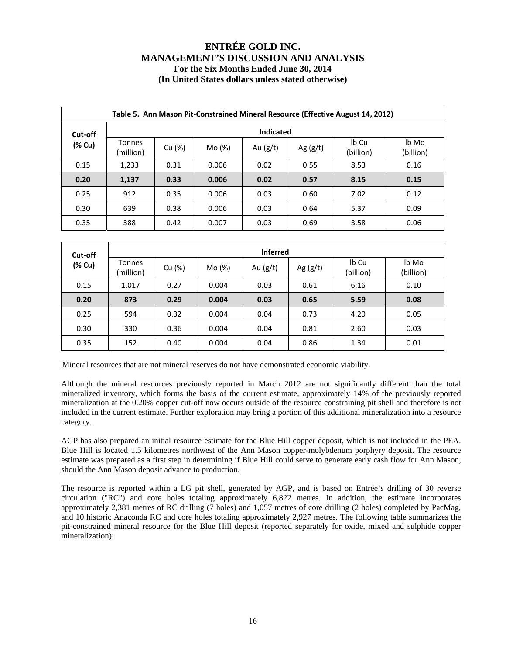|         | Table 5. Ann Mason Pit-Constrained Mineral Resource (Effective August 14, 2012) |        |        |                  |            |                    |                    |  |  |  |  |  |
|---------|---------------------------------------------------------------------------------|--------|--------|------------------|------------|--------------------|--------------------|--|--|--|--|--|
| Cut-off |                                                                                 |        |        | <b>Indicated</b> |            |                    |                    |  |  |  |  |  |
| (% Cu)  | Tonnes<br>(million)                                                             | Cu (%) | Mo (%) | Au $(g/t)$       | Ag $(g/t)$ | Ib Cu<br>(billion) | lb Mo<br>(billion) |  |  |  |  |  |
| 0.15    | 1,233                                                                           | 0.31   | 0.006  | 0.02             | 0.55       | 8.53               | 0.16               |  |  |  |  |  |
| 0.20    | 1,137                                                                           | 0.33   | 0.006  | 0.02             | 0.57       | 8.15               | 0.15               |  |  |  |  |  |
| 0.25    | 912                                                                             | 0.35   | 0.006  | 0.03             | 0.60       | 7.02               | 0.12               |  |  |  |  |  |
| 0.30    | 639                                                                             | 0.38   | 0.006  | 0.03             | 0.64       | 5.37               | 0.09               |  |  |  |  |  |
| 0.35    | 388                                                                             | 0.42   | 0.007  | 0.03             | 0.69       | 3.58               | 0.06               |  |  |  |  |  |

| Cut-off |                            | <b>Inferred</b> |        |            |      |                    |                    |  |  |  |  |  |
|---------|----------------------------|-----------------|--------|------------|------|--------------------|--------------------|--|--|--|--|--|
| (% Cu)  | <b>Tonnes</b><br>(million) | Cu (%)          | Mo (%) | Au $(g/t)$ |      | Ib Cu<br>(billion) | lb Mo<br>(billion) |  |  |  |  |  |
| 0.15    | 1,017                      | 0.27            | 0.004  | 0.03       | 0.61 | 6.16               | 0.10               |  |  |  |  |  |
| 0.20    | 873                        | 0.29            | 0.004  | 0.03       | 0.65 | 5.59               | 0.08               |  |  |  |  |  |
| 0.25    | 594                        | 0.32            | 0.004  | 0.04       | 0.73 | 4.20               | 0.05               |  |  |  |  |  |
| 0.30    | 330                        | 0.36            | 0.004  | 0.04       | 0.81 | 2.60               | 0.03               |  |  |  |  |  |
| 0.35    | 152                        | 0.40            | 0.004  | 0.04       | 0.86 | 1.34               | 0.01               |  |  |  |  |  |

Mineral resources that are not mineral reserves do not have demonstrated economic viability.

Although the mineral resources previously reported in March 2012 are not significantly different than the total mineralized inventory, which forms the basis of the current estimate, approximately 14% of the previously reported mineralization at the 0.20% copper cut-off now occurs outside of the resource constraining pit shell and therefore is not included in the current estimate. Further exploration may bring a portion of this additional mineralization into a resource category.

AGP has also prepared an initial resource estimate for the Blue Hill copper deposit, which is not included in the PEA. Blue Hill is located 1.5 kilometres northwest of the Ann Mason copper-molybdenum porphyry deposit. The resource estimate was prepared as a first step in determining if Blue Hill could serve to generate early cash flow for Ann Mason, should the Ann Mason deposit advance to production.

The resource is reported within a LG pit shell, generated by AGP, and is based on Entrée's drilling of 30 reverse circulation ("RC") and core holes totaling approximately 6,822 metres. In addition, the estimate incorporates approximately 2,381 metres of RC drilling (7 holes) and 1,057 metres of core drilling (2 holes) completed by PacMag, and 10 historic Anaconda RC and core holes totaling approximately 2,927 metres. The following table summarizes the pit-constrained mineral resource for the Blue Hill deposit (reported separately for oxide, mixed and sulphide copper mineralization):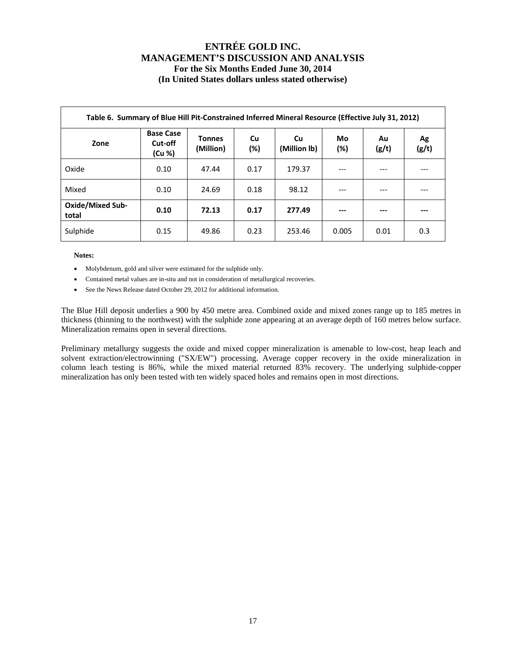|                                  | Table 6. Summary of Blue Hill Pit-Constrained Inferred Mineral Resource (Effective July 31, 2012) |                            |              |                    |              |             |             |  |  |  |  |  |  |
|----------------------------------|---------------------------------------------------------------------------------------------------|----------------------------|--------------|--------------------|--------------|-------------|-------------|--|--|--|--|--|--|
| Zone                             | <b>Base Case</b><br>Cut-off<br>(Cu %)                                                             | <b>Tonnes</b><br>(Million) | Cu<br>$(\%)$ | Cu<br>(Million lb) | Mo<br>$(\%)$ | Au<br>(g/t) | Ag<br>(g/t) |  |  |  |  |  |  |
| Oxide                            | 0.10                                                                                              | 47.44                      | 0.17         | 179.37             | ---          | ---         |             |  |  |  |  |  |  |
| Mixed                            | 0.10                                                                                              | 24.69                      | 0.18         | 98.12              | $---$        | ---         | ---         |  |  |  |  |  |  |
| <b>Oxide/Mixed Sub-</b><br>total | 0.10                                                                                              | 72.13                      | 0.17         | 277.49             | ---          | ---         |             |  |  |  |  |  |  |
| Sulphide                         | 0.15                                                                                              | 49.86                      | 0.23         | 253.46             | 0.005        | 0.01        | 0.3         |  |  |  |  |  |  |

**Notes:** 

- Molybdenum, gold and silver were estimated for the sulphide only.
- Contained metal values are in-situ and not in consideration of metallurgical recoveries.
- See the News Release dated October 29, 2012 for additional information.

The Blue Hill deposit underlies a 900 by 450 metre area. Combined oxide and mixed zones range up to 185 metres in thickness (thinning to the northwest) with the sulphide zone appearing at an average depth of 160 metres below surface. Mineralization remains open in several directions.

Preliminary metallurgy suggests the oxide and mixed copper mineralization is amenable to low-cost, heap leach and solvent extraction/electrowinning ("SX/EW") processing. Average copper recovery in the oxide mineralization in column leach testing is 86%, while the mixed material returned 83% recovery. The underlying sulphide-copper mineralization has only been tested with ten widely spaced holes and remains open in most directions.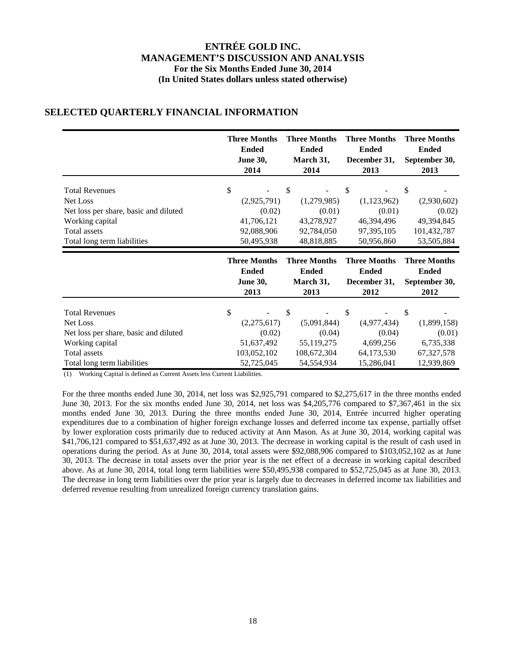|                                       | <b>Three Months</b> | <b>Three Months</b> | <b>Three Months</b> | <b>Three Months</b> |
|---------------------------------------|---------------------|---------------------|---------------------|---------------------|
|                                       | <b>Ended</b>        | <b>Ended</b>        | <b>Ended</b>        | <b>Ended</b>        |
|                                       | <b>June 30,</b>     | March 31,           | December 31,        | September 30,       |
|                                       | 2014                | 2014                | 2013                | 2013                |
| <b>Total Revenues</b>                 | \$                  | \$                  | \$                  | \$                  |
| Net Loss                              | (2,925,791)         | (1,279,985)         | (1,123,962)         | (2,930,602)         |
| Net loss per share, basic and diluted | (0.02)              | (0.01)              | (0.01)              | (0.02)              |
| Working capital                       | 41,706,121          | 43,278,927          | 46,394,496          | 49,394,845          |
| Total assets                          | 92,088,906          | 92,784,050          | 97,395,105          | 101,432,787         |
| Total long term liabilities           | 50,495,938          | 48,818,885          | 50,956,860          | 53,505,884          |
|                                       | <b>Three Months</b> | <b>Three Months</b> | <b>Three Months</b> | <b>Three Months</b> |
|                                       | <b>Ended</b>        | <b>Ended</b>        | <b>Ended</b>        | <b>Ended</b>        |
|                                       | <b>June 30,</b>     | March 31,           | December 31,        | September 30,       |
|                                       | 2013                | 2013                | 2012                | 2012                |
| <b>Total Revenues</b>                 | \$                  | \$                  | \$                  | \$                  |

### **SELECTED QUARTERLY FINANCIAL INFORMATION**

(1) Working Capital is defined as Current Assets less Current Liabilities.

For the three months ended June 30, 2014, net loss was \$2,925,791 compared to \$2,275,617 in the three months ended June 30, 2013. For the six months ended June 30, 2014, net loss was \$4,205,776 compared to \$7,367,461 in the six months ended June 30, 2013. During the three months ended June 30, 2014, Entrée incurred higher operating expenditures due to a combination of higher foreign exchange losses and deferred income tax expense, partially offset by lower exploration costs primarily due to reduced activity at Ann Mason. As at June 30, 2014, working capital was \$41,706,121 compared to \$51,637,492 as at June 30, 2013. The decrease in working capital is the result of cash used in operations during the period. As at June 30, 2014, total assets were \$92,088,906 compared to \$103,052,102 as at June 30, 2013. The decrease in total assets over the prior year is the net effect of a decrease in working capital described above. As at June 30, 2014, total long term liabilities were \$50,495,938 compared to \$52,725,045 as at June 30, 2013. The decrease in long term liabilities over the prior year is largely due to decreases in deferred income tax liabilities and deferred revenue resulting from unrealized foreign currency translation gains.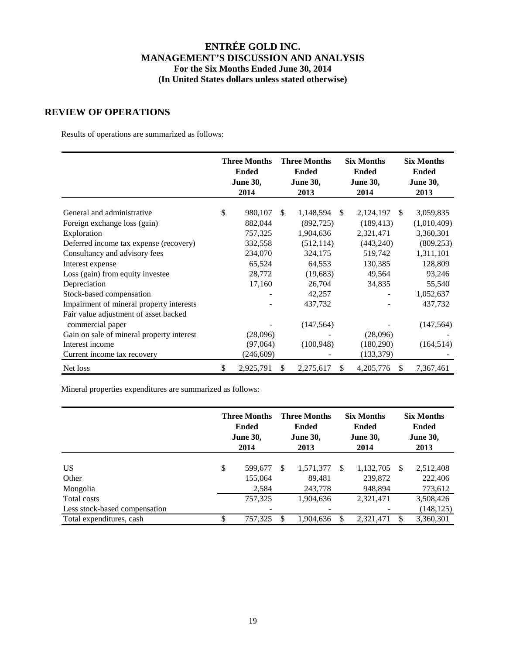### **REVIEW OF OPERATIONS**

Results of operations are summarized as follows:

|                                           | <b>Three Months</b><br><b>Ended</b><br><b>June 30,</b><br>2014 | <b>Three Months</b><br><b>Ended</b><br><b>June 30,</b><br>2013 |            |               | <b>Six Months</b><br><b>Ended</b><br><b>June 30,</b><br>2014 | <b>Six Months</b><br><b>Ended</b><br><b>June 30,</b><br>2013 |             |
|-------------------------------------------|----------------------------------------------------------------|----------------------------------------------------------------|------------|---------------|--------------------------------------------------------------|--------------------------------------------------------------|-------------|
| General and administrative                | \$<br>980,107                                                  | \$.                                                            | 1,148,594  | <sup>\$</sup> | 2,124,197                                                    | <sup>\$</sup>                                                | 3,059,835   |
| Foreign exchange loss (gain)              | 882,044                                                        |                                                                | (892, 725) |               | (189, 413)                                                   |                                                              | (1,010,409) |
| Exploration                               | 757,325                                                        |                                                                | 1,904,636  |               | 2,321,471                                                    |                                                              | 3,360,301   |
| Deferred income tax expense (recovery)    | 332,558                                                        |                                                                | (512, 114) |               | (443, 240)                                                   |                                                              | (809, 253)  |
| Consultancy and advisory fees             | 234,070                                                        |                                                                | 324,175    |               | 519,742                                                      |                                                              | 1,311,101   |
| Interest expense                          | 65,524                                                         |                                                                | 64,553     |               | 130,385                                                      |                                                              | 128,809     |
| Loss (gain) from equity investee          | 28,772                                                         |                                                                | (19,683)   |               | 49,564                                                       |                                                              | 93,246      |
| Depreciation                              | 17,160                                                         |                                                                | 26,704     |               | 34,835                                                       |                                                              | 55,540      |
| Stock-based compensation                  |                                                                |                                                                | 42,257     |               |                                                              |                                                              | 1,052,637   |
| Impairment of mineral property interests  |                                                                |                                                                | 437,732    |               |                                                              |                                                              | 437,732     |
| Fair value adjustment of asset backed     |                                                                |                                                                |            |               |                                                              |                                                              |             |
| commercial paper                          |                                                                |                                                                | (147, 564) |               |                                                              |                                                              | (147, 564)  |
| Gain on sale of mineral property interest | (28,096)                                                       |                                                                |            |               | (28,096)                                                     |                                                              |             |
| Interest income                           | (97,064)                                                       |                                                                | (100, 948) |               | (180, 290)                                                   |                                                              | (164, 514)  |
| Current income tax recovery               | (246, 609)                                                     |                                                                |            |               | (133, 379)                                                   |                                                              |             |
| Net loss                                  | \$<br>2,925,791                                                | \$                                                             | 2,275,617  | \$            | 4,205,776                                                    | \$.                                                          | 7,367,461   |

Mineral properties expenditures are summarized as follows:

|                                              | <b>Three Months</b><br><b>Ended</b><br><b>June 30,</b><br>2014 |                             | <b>Three Months</b><br><b>Ended</b><br><b>June 30,</b><br>2013 |                                |   | <b>Six Months</b><br><b>Ended</b><br><b>June 30,</b><br>2014 | <b>Six Months</b><br><b>Ended</b><br><b>June 30,</b><br>2013 |                                 |  |
|----------------------------------------------|----------------------------------------------------------------|-----------------------------|----------------------------------------------------------------|--------------------------------|---|--------------------------------------------------------------|--------------------------------------------------------------|---------------------------------|--|
| <b>US</b><br>Other<br>Mongolia               | \$                                                             | 599,677<br>155,064<br>2,584 | \$.                                                            | 1,571,377<br>89.481<br>243,778 | S | 1,132,705<br>239,872<br>948,894                              | -S                                                           | 2,512,408<br>222,406<br>773,612 |  |
| Total costs<br>Less stock-based compensation |                                                                | 757,325                     |                                                                | 1,904,636                      |   | 2,321,471                                                    |                                                              | 3,508,426<br>(148, 125)         |  |
| Total expenditures, cash                     | \$                                                             | 757,325                     | \$                                                             | 1,904,636                      |   | 2,321,471                                                    | \$                                                           | 3,360,301                       |  |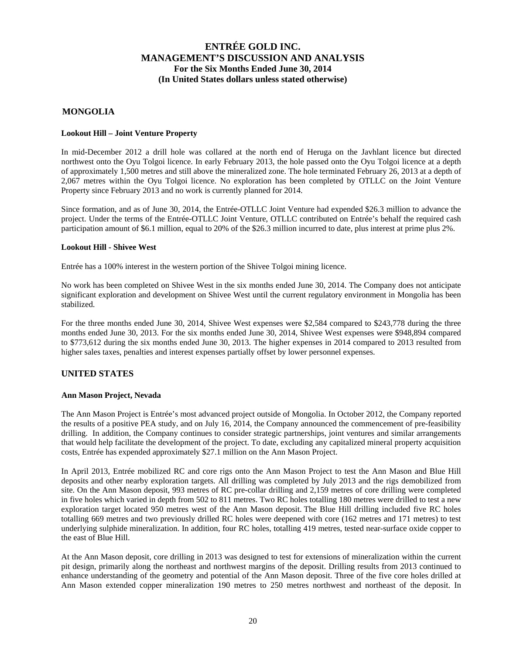#### **MONGOLIA**

#### **Lookout Hill – Joint Venture Property**

In mid-December 2012 a drill hole was collared at the north end of Heruga on the Javhlant licence but directed northwest onto the Oyu Tolgoi licence. In early February 2013, the hole passed onto the Oyu Tolgoi licence at a depth of approximately 1,500 metres and still above the mineralized zone. The hole terminated February 26, 2013 at a depth of 2,067 metres within the Oyu Tolgoi licence. No exploration has been completed by OTLLC on the Joint Venture Property since February 2013 and no work is currently planned for 2014.

Since formation, and as of June 30, 2014, the Entrée-OTLLC Joint Venture had expended \$26.3 million to advance the project. Under the terms of the Entrée-OTLLC Joint Venture, OTLLC contributed on Entrée's behalf the required cash participation amount of \$6.1 million, equal to 20% of the \$26.3 million incurred to date, plus interest at prime plus 2%.

#### **Lookout Hill - Shivee West**

Entrée has a 100% interest in the western portion of the Shivee Tolgoi mining licence.

No work has been completed on Shivee West in the six months ended June 30, 2014. The Company does not anticipate significant exploration and development on Shivee West until the current regulatory environment in Mongolia has been stabilized.

For the three months ended June 30, 2014, Shivee West expenses were \$2,584 compared to \$243,778 during the three months ended June 30, 2013. For the six months ended June 30, 2014, Shivee West expenses were \$948,894 compared to \$773,612 during the six months ended June 30, 2013. The higher expenses in 2014 compared to 2013 resulted from higher sales taxes, penalties and interest expenses partially offset by lower personnel expenses.

#### **UNITED STATES**

#### **Ann Mason Project, Nevada**

The Ann Mason Project is Entrée's most advanced project outside of Mongolia. In October 2012, the Company reported the results of a positive PEA study, and on July 16, 2014, the Company announced the commencement of pre-feasibility drilling. In addition, the Company continues to consider strategic partnerships, joint ventures and similar arrangements that would help facilitate the development of the project. To date, excluding any capitalized mineral property acquisition costs, Entrée has expended approximately \$27.1 million on the Ann Mason Project.

In April 2013, Entrée mobilized RC and core rigs onto the Ann Mason Project to test the Ann Mason and Blue Hill deposits and other nearby exploration targets. All drilling was completed by July 2013 and the rigs demobilized from site. On the Ann Mason deposit, 993 metres of RC pre-collar drilling and 2,159 metres of core drilling were completed in five holes which varied in depth from 502 to 811 metres. Two RC holes totalling 180 metres were drilled to test a new exploration target located 950 metres west of the Ann Mason deposit. The Blue Hill drilling included five RC holes totalling 669 metres and two previously drilled RC holes were deepened with core (162 metres and 171 metres) to test underlying sulphide mineralization. In addition, four RC holes, totalling 419 metres, tested near-surface oxide copper to the east of Blue Hill.

At the Ann Mason deposit, core drilling in 2013 was designed to test for extensions of mineralization within the current pit design, primarily along the northeast and northwest margins of the deposit. Drilling results from 2013 continued to enhance understanding of the geometry and potential of the Ann Mason deposit. Three of the five core holes drilled at Ann Mason extended copper mineralization 190 metres to 250 metres northwest and northeast of the deposit. In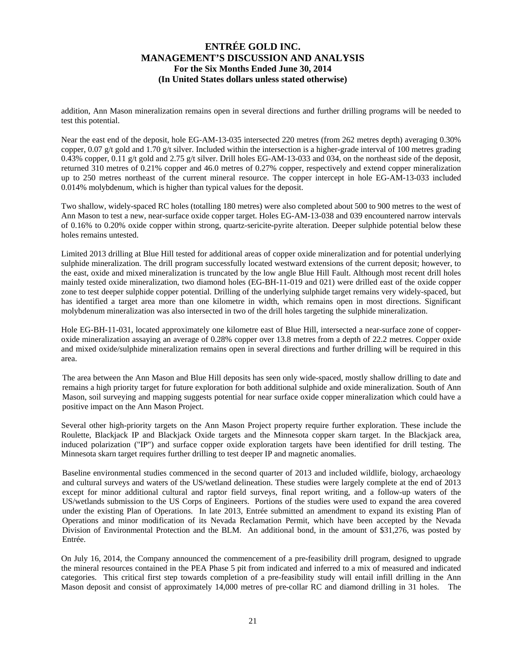addition, Ann Mason mineralization remains open in several directions and further drilling programs will be needed to test this potential.

Near the east end of the deposit, hole EG-AM-13-035 intersected 220 metres (from 262 metres depth) averaging 0.30% copper, 0.07 g/t gold and 1.70 g/t silver. Included within the intersection is a higher-grade interval of 100 metres grading 0.43% copper, 0.11 g/t gold and 2.75 g/t silver. Drill holes EG-AM-13-033 and 034, on the northeast side of the deposit, returned 310 metres of 0.21% copper and 46.0 metres of 0.27% copper, respectively and extend copper mineralization up to 250 metres northeast of the current mineral resource. The copper intercept in hole EG-AM-13-033 included 0.014% molybdenum, which is higher than typical values for the deposit.

Two shallow, widely-spaced RC holes (totalling 180 metres) were also completed about 500 to 900 metres to the west of Ann Mason to test a new, near-surface oxide copper target. Holes EG-AM-13-038 and 039 encountered narrow intervals of 0.16% to 0.20% oxide copper within strong, quartz-sericite-pyrite alteration. Deeper sulphide potential below these holes remains untested.

Limited 2013 drilling at Blue Hill tested for additional areas of copper oxide mineralization and for potential underlying sulphide mineralization. The drill program successfully located westward extensions of the current deposit; however, to the east, oxide and mixed mineralization is truncated by the low angle Blue Hill Fault. Although most recent drill holes mainly tested oxide mineralization, two diamond holes (EG-BH-11-019 and 021) were drilled east of the oxide copper zone to test deeper sulphide copper potential. Drilling of the underlying sulphide target remains very widely-spaced, but has identified a target area more than one kilometre in width, which remains open in most directions. Significant molybdenum mineralization was also intersected in two of the drill holes targeting the sulphide mineralization.

Hole EG-BH-11-031, located approximately one kilometre east of Blue Hill, intersected a near-surface zone of copperoxide mineralization assaying an average of 0.28% copper over 13.8 metres from a depth of 22.2 metres. Copper oxide and mixed oxide/sulphide mineralization remains open in several directions and further drilling will be required in this area.

The area between the Ann Mason and Blue Hill deposits has seen only wide-spaced, mostly shallow drilling to date and remains a high priority target for future exploration for both additional sulphide and oxide mineralization. South of Ann Mason, soil surveying and mapping suggests potential for near surface oxide copper mineralization which could have a positive impact on the Ann Mason Project.

Several other high-priority targets on the Ann Mason Project property require further exploration. These include the Roulette, Blackjack IP and Blackjack Oxide targets and the Minnesota copper skarn target. In the Blackjack area, induced polarization ("IP") and surface copper oxide exploration targets have been identified for drill testing. The Minnesota skarn target requires further drilling to test deeper IP and magnetic anomalies.

Baseline environmental studies commenced in the second quarter of 2013 and included wildlife, biology, archaeology and cultural surveys and waters of the US/wetland delineation. These studies were largely complete at the end of 2013 except for minor additional cultural and raptor field surveys, final report writing, and a follow-up waters of the US/wetlands submission to the US Corps of Engineers. Portions of the studies were used to expand the area covered under the existing Plan of Operations. In late 2013, Entrée submitted an amendment to expand its existing Plan of Operations and minor modification of its Nevada Reclamation Permit, which have been accepted by the Nevada Division of Environmental Protection and the BLM. An additional bond, in the amount of \$31,276, was posted by Entrée.

On July 16, 2014, the Company announced the commencement of a pre-feasibility drill program, designed to upgrade the mineral resources contained in the PEA Phase 5 pit from indicated and inferred to a mix of measured and indicated categories. This critical first step towards completion of a pre-feasibility study will entail infill drilling in the Ann Mason deposit and consist of approximately 14,000 metres of pre-collar RC and diamond drilling in 31 holes. The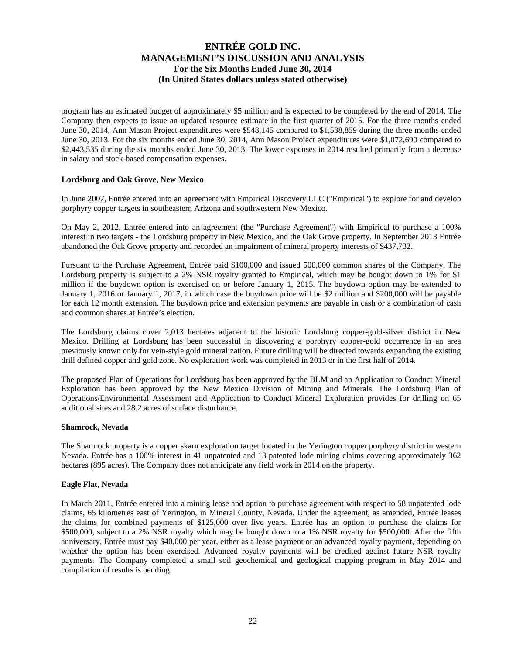program has an estimated budget of approximately \$5 million and is expected to be completed by the end of 2014. The Company then expects to issue an updated resource estimate in the first quarter of 2015. For the three months ended June 30, 2014, Ann Mason Project expenditures were \$548,145 compared to \$1,538,859 during the three months ended June 30, 2013. For the six months ended June 30, 2014, Ann Mason Project expenditures were \$1,072,690 compared to \$2,443,535 during the six months ended June 30, 2013. The lower expenses in 2014 resulted primarily from a decrease in salary and stock-based compensation expenses.

#### **Lordsburg and Oak Grove, New Mexico**

In June 2007, Entrée entered into an agreement with Empirical Discovery LLC ("Empirical") to explore for and develop porphyry copper targets in southeastern Arizona and southwestern New Mexico.

On May 2, 2012, Entrée entered into an agreement (the "Purchase Agreement") with Empirical to purchase a 100% interest in two targets - the Lordsburg property in New Mexico, and the Oak Grove property. In September 2013 Entrée abandoned the Oak Grove property and recorded an impairment of mineral property interests of \$437,732.

Pursuant to the Purchase Agreement, Entrée paid \$100,000 and issued 500,000 common shares of the Company. The Lordsburg property is subject to a 2% NSR royalty granted to Empirical, which may be bought down to 1% for \$1 million if the buydown option is exercised on or before January 1, 2015. The buydown option may be extended to January 1, 2016 or January 1, 2017, in which case the buydown price will be \$2 million and \$200,000 will be payable for each 12 month extension. The buydown price and extension payments are payable in cash or a combination of cash and common shares at Entrée's election.

The Lordsburg claims cover 2,013 hectares adjacent to the historic Lordsburg copper-gold-silver district in New Mexico. Drilling at Lordsburg has been successful in discovering a porphyry copper-gold occurrence in an area previously known only for vein-style gold mineralization. Future drilling will be directed towards expanding the existing drill defined copper and gold zone. No exploration work was completed in 2013 or in the first half of 2014.

The proposed Plan of Operations for Lordsburg has been approved by the BLM and an Application to Conduct Mineral Exploration has been approved by the New Mexico Division of Mining and Minerals. The Lordsburg Plan of Operations/Environmental Assessment and Application to Conduct Mineral Exploration provides for drilling on 65 additional sites and 28.2 acres of surface disturbance.

#### **Shamrock, Nevada**

The Shamrock property is a copper skarn exploration target located in the Yerington copper porphyry district in western Nevada. Entrée has a 100% interest in 41 unpatented and 13 patented lode mining claims covering approximately 362 hectares (895 acres). The Company does not anticipate any field work in 2014 on the property.

#### **Eagle Flat, Nevada**

In March 2011, Entrée entered into a mining lease and option to purchase agreement with respect to 58 unpatented lode claims, 65 kilometres east of Yerington, in Mineral County, Nevada. Under the agreement, as amended, Entrée leases the claims for combined payments of \$125,000 over five years. Entrée has an option to purchase the claims for \$500,000, subject to a 2% NSR royalty which may be bought down to a 1% NSR royalty for \$500,000. After the fifth anniversary, Entrée must pay \$40,000 per year, either as a lease payment or an advanced royalty payment, depending on whether the option has been exercised. Advanced royalty payments will be credited against future NSR royalty payments. The Company completed a small soil geochemical and geological mapping program in May 2014 and compilation of results is pending.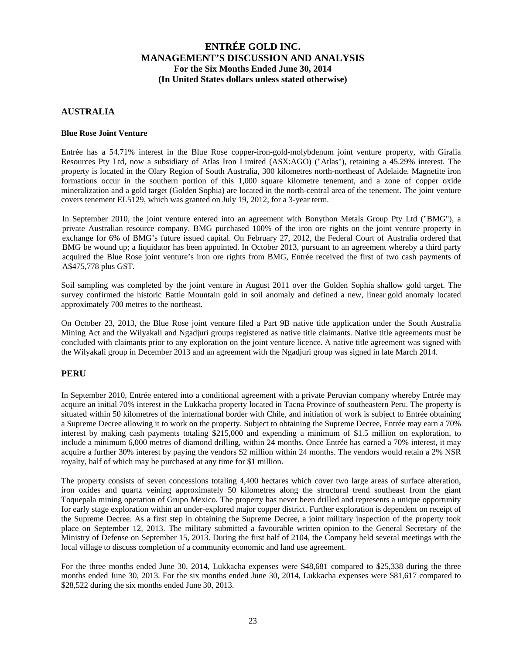#### **AUSTRALIA**

#### **Blue Rose Joint Venture**

Entrée has a 54.71% interest in the Blue Rose copper-iron-gold-molybdenum joint venture property, with Giralia Resources Pty Ltd, now a subsidiary of Atlas Iron Limited (ASX:AGO) ("Atlas"), retaining a 45.29% interest. The property is located in the Olary Region of South Australia, 300 kilometres north-northeast of Adelaide. Magnetite iron formations occur in the southern portion of this 1,000 square kilometre tenement, and a zone of copper oxide mineralization and a gold target (Golden Sophia) are located in the north-central area of the tenement. The joint venture covers tenement EL5129, which was granted on July 19, 2012, for a 3-year term.

In September 2010, the joint venture entered into an agreement with Bonython Metals Group Pty Ltd ("BMG"), a private Australian resource company. BMG purchased 100% of the iron ore rights on the joint venture property in exchange for 6% of BMG's future issued capital. On February 27, 2012, the Federal Court of Australia ordered that BMG be wound up; a liquidator has been appointed. In October 2013, pursuant to an agreement whereby a third party acquired the Blue Rose joint venture's iron ore rights from BMG, Entrée received the first of two cash payments of A\$475,778 plus GST.

Soil sampling was completed by the joint venture in August 2011 over the Golden Sophia shallow gold target. The survey confirmed the historic Battle Mountain gold in soil anomaly and defined a new, linear gold anomaly located approximately 700 metres to the northeast.

On October 23, 2013, the Blue Rose joint venture filed a Part 9B native title application under the South Australia Mining Act and the Wilyakali and Ngadjuri groups registered as native title claimants. Native title agreements must be concluded with claimants prior to any exploration on the joint venture licence. A native title agreement was signed with the Wilyakali group in December 2013 and an agreement with the Ngadjuri group was signed in late March 2014.

#### **PERU**

In September 2010, Entrée entered into a conditional agreement with a private Peruvian company whereby Entrée may acquire an initial 70% interest in the Lukkacha property located in Tacna Province of southeastern Peru. The property is situated within 50 kilometres of the international border with Chile, and initiation of work is subject to Entrée obtaining a Supreme Decree allowing it to work on the property. Subject to obtaining the Supreme Decree, Entrée may earn a 70% interest by making cash payments totaling \$215,000 and expending a minimum of \$1.5 million on exploration, to include a minimum 6,000 metres of diamond drilling, within 24 months. Once Entrée has earned a 70% interest, it may acquire a further 30% interest by paying the vendors \$2 million within 24 months. The vendors would retain a 2% NSR royalty, half of which may be purchased at any time for \$1 million.

The property consists of seven concessions totaling 4,400 hectares which cover two large areas of surface alteration, iron oxides and quartz veining approximately 50 kilometres along the structural trend southeast from the giant Toquepala mining operation of Grupo Mexico. The property has never been drilled and represents a unique opportunity for early stage exploration within an under-explored major copper district. Further exploration is dependent on receipt of the Supreme Decree. As a first step in obtaining the Supreme Decree, a joint military inspection of the property took place on September 12, 2013. The military submitted a favourable written opinion to the General Secretary of the Ministry of Defense on September 15, 2013. During the first half of 2104, the Company held several meetings with the local village to discuss completion of a community economic and land use agreement.

For the three months ended June 30, 2014, Lukkacha expenses were \$48,681 compared to \$25,338 during the three months ended June 30, 2013. For the six months ended June 30, 2014, Lukkacha expenses were \$81,617 compared to \$28,522 during the six months ended June 30, 2013.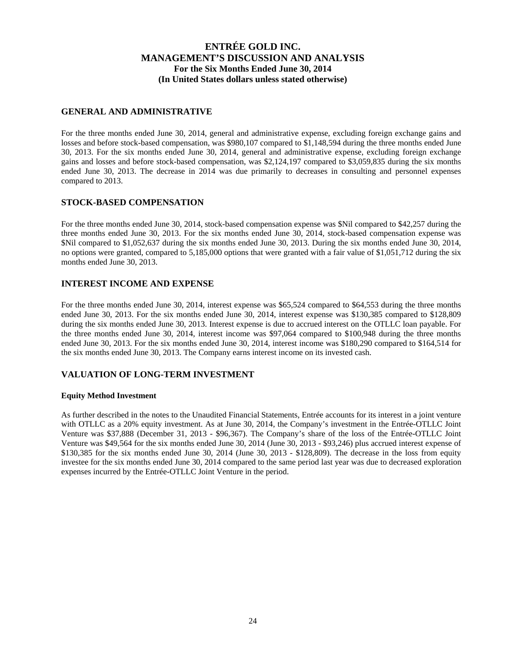#### **GENERAL AND ADMINISTRATIVE**

For the three months ended June 30, 2014, general and administrative expense, excluding foreign exchange gains and losses and before stock-based compensation, was \$980,107 compared to \$1,148,594 during the three months ended June 30, 2013. For the six months ended June 30, 2014, general and administrative expense, excluding foreign exchange gains and losses and before stock-based compensation, was \$2,124,197 compared to \$3,059,835 during the six months ended June 30, 2013. The decrease in 2014 was due primarily to decreases in consulting and personnel expenses compared to 2013.

#### **STOCK-BASED COMPENSATION**

For the three months ended June 30, 2014, stock-based compensation expense was \$Nil compared to \$42,257 during the three months ended June 30, 2013. For the six months ended June 30, 2014, stock-based compensation expense was \$Nil compared to \$1,052,637 during the six months ended June 30, 2013. During the six months ended June 30, 2014, no options were granted, compared to 5,185,000 options that were granted with a fair value of \$1,051,712 during the six months ended June 30, 2013.

#### **INTEREST INCOME AND EXPENSE**

For the three months ended June 30, 2014, interest expense was \$65,524 compared to \$64,553 during the three months ended June 30, 2013. For the six months ended June 30, 2014, interest expense was \$130,385 compared to \$128,809 during the six months ended June 30, 2013. Interest expense is due to accrued interest on the OTLLC loan payable. For the three months ended June 30, 2014, interest income was \$97,064 compared to \$100,948 during the three months ended June 30, 2013. For the six months ended June 30, 2014, interest income was \$180,290 compared to \$164,514 for the six months ended June 30, 2013. The Company earns interest income on its invested cash.

#### **VALUATION OF LONG-TERM INVESTMENT**

#### **Equity Method Investment**

As further described in the notes to the Unaudited Financial Statements, Entrée accounts for its interest in a joint venture with OTLLC as a 20% equity investment. As at June 30, 2014, the Company's investment in the Entrée-OTLLC Joint Venture was \$37,888 (December 31, 2013 - \$96,367). The Company's share of the loss of the Entrée-OTLLC Joint Venture was \$49,564 for the six months ended June 30, 2014 (June 30, 2013 - \$93,246) plus accrued interest expense of \$130,385 for the six months ended June 30, 2014 (June 30, 2013 - \$128,809). The decrease in the loss from equity investee for the six months ended June 30, 2014 compared to the same period last year was due to decreased exploration expenses incurred by the Entrée-OTLLC Joint Venture in the period.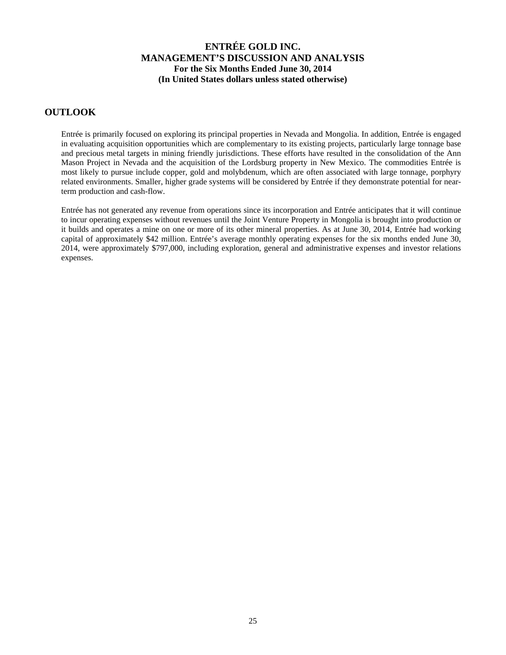### **OUTLOOK**

Entrée is primarily focused on exploring its principal properties in Nevada and Mongolia. In addition, Entrée is engaged in evaluating acquisition opportunities which are complementary to its existing projects, particularly large tonnage base and precious metal targets in mining friendly jurisdictions. These efforts have resulted in the consolidation of the Ann Mason Project in Nevada and the acquisition of the Lordsburg property in New Mexico. The commodities Entrée is most likely to pursue include copper, gold and molybdenum, which are often associated with large tonnage, porphyry related environments. Smaller, higher grade systems will be considered by Entrée if they demonstrate potential for nearterm production and cash-flow.

Entrée has not generated any revenue from operations since its incorporation and Entrée anticipates that it will continue to incur operating expenses without revenues until the Joint Venture Property in Mongolia is brought into production or it builds and operates a mine on one or more of its other mineral properties. As at June 30, 2014, Entrée had working capital of approximately \$42 million. Entrée's average monthly operating expenses for the six months ended June 30, 2014, were approximately \$797,000, including exploration, general and administrative expenses and investor relations expenses.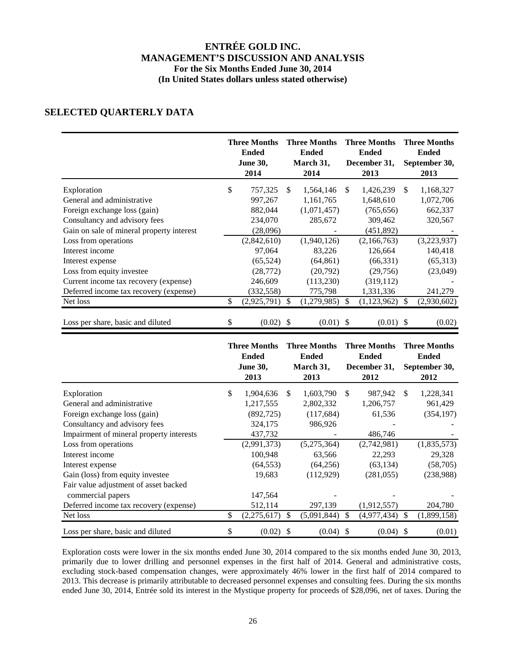# **SELECTED QUARTERLY DATA**

|                                           | <b>Three Months</b><br><b>Ended</b><br><b>June 30,</b><br>2014 |     | <b>Three Months</b><br><b>Ended</b><br>March 31,<br>2014 |               | <b>Three Months</b><br><b>Ended</b><br>December 31,<br>2013 |               | <b>Three Months</b><br><b>Ended</b><br>September 30,<br>2013 |
|-------------------------------------------|----------------------------------------------------------------|-----|----------------------------------------------------------|---------------|-------------------------------------------------------------|---------------|--------------------------------------------------------------|
| Exploration                               | \$<br>757,325                                                  | \$. | 1,564,146                                                | <sup>\$</sup> | 1,426,239                                                   | \$            | 1,168,327                                                    |
| General and administrative                | 997,267                                                        |     | 1,161,765                                                |               | 1,648,610                                                   |               | 1,072,706                                                    |
| Foreign exchange loss (gain)              | 882,044                                                        |     | (1,071,457)                                              |               | (765, 656)                                                  |               | 662,337                                                      |
| Consultancy and advisory fees             | 234,070                                                        |     | 285,672                                                  |               | 309,462                                                     |               | 320,567                                                      |
| Gain on sale of mineral property interest | (28,096)                                                       |     |                                                          |               | (451, 892)                                                  |               |                                                              |
| Loss from operations                      | (2,842,610)                                                    |     | (1,940,126)                                              |               | (2,166,763)                                                 |               | (3,223,937)                                                  |
| Interest income                           | 97,064                                                         |     | 83,226                                                   |               | 126,664                                                     |               | 140,418                                                      |
| Interest expense                          | (65, 524)                                                      |     | (64, 861)                                                |               | (66, 331)                                                   |               | (65,313)                                                     |
| Loss from equity investee                 | (28, 772)                                                      |     | (20,792)                                                 |               | (29,756)                                                    |               | (23,049)                                                     |
| Current income tax recovery (expense)     | 246,609                                                        |     | (113,230)                                                |               | (319, 112)                                                  |               |                                                              |
| Deferred income tax recovery (expense)    | (332, 558)                                                     |     | 775,798                                                  |               | 1,331,336                                                   |               | 241,279                                                      |
| Net loss                                  | \$<br>(2,925,791)                                              | S   | (1,279,985)                                              | <sup>\$</sup> | (1, 123, 962)                                               | <sup>\$</sup> | (2,930,602)                                                  |
| Loss per share, basic and diluted         | \$<br>$(0.02)$ \$                                              |     | $(0.01)$ \$                                              |               | (0.01)                                                      | -S            | (0.02)                                                       |

|                                          | <b>Three Months</b><br><b>Ended</b><br><b>June 30,</b><br>2013 |     | <b>Three Months</b><br><b>Ended</b><br>March 31,<br>2013 |               | <b>Three Months</b><br><b>Ended</b><br>December 31,<br>2012 |               | <b>Three Months</b><br><b>Ended</b><br>September 30,<br>2012 |
|------------------------------------------|----------------------------------------------------------------|-----|----------------------------------------------------------|---------------|-------------------------------------------------------------|---------------|--------------------------------------------------------------|
| Exploration                              | \$<br>1,904,636                                                | \$. | 1,603,790                                                | <sup>\$</sup> | 987,942                                                     | \$.           | 1,228,341                                                    |
| General and administrative               | 1,217,555                                                      |     | 2,802,332                                                |               | 1,206,757                                                   |               | 961,429                                                      |
| Foreign exchange loss (gain)             | (892, 725)                                                     |     | (117,684)                                                |               | 61,536                                                      |               | (354, 197)                                                   |
| Consultancy and advisory fees            | 324,175                                                        |     | 986,926                                                  |               |                                                             |               |                                                              |
| Impairment of mineral property interests | 437,732                                                        |     |                                                          |               | 486,746                                                     |               |                                                              |
| Loss from operations                     | (2,991,373)                                                    |     | (5,275,364)                                              |               | (2,742,981)                                                 |               | (1,835,573)                                                  |
| Interest income                          | 100,948                                                        |     | 63,566                                                   |               | 22,293                                                      |               | 29,328                                                       |
| Interest expense                         | (64, 553)                                                      |     | (64,256)                                                 |               | (63, 134)                                                   |               | (58, 705)                                                    |
| Gain (loss) from equity investee         | 19,683                                                         |     | (112,929)                                                |               | (281, 055)                                                  |               | (238,988)                                                    |
| Fair value adjustment of asset backed    |                                                                |     |                                                          |               |                                                             |               |                                                              |
| commercial papers                        | 147,564                                                        |     |                                                          |               |                                                             |               |                                                              |
| Deferred income tax recovery (expense)   | 512,114                                                        |     | 297,139                                                  |               | (1,912,557)                                                 |               | 204,780                                                      |
| Net loss                                 | \$<br>(2,275,617)                                              | \$  | (5,091,844)                                              | <sup>\$</sup> | (4,977,434)                                                 | <sup>\$</sup> | (1,899,158)                                                  |
| Loss per share, basic and diluted        | \$<br>(0.02)                                                   |     | (0.04)                                                   | -S            | (0.04)                                                      |               | (0.01)                                                       |

Exploration costs were lower in the six months ended June 30, 2014 compared to the six months ended June 30, 2013, primarily due to lower drilling and personnel expenses in the first half of 2014. General and administrative costs, excluding stock-based compensation changes, were approximately 46% lower in the first half of 2014 compared to 2013. This decrease is primarily attributable to decreased personnel expenses and consulting fees. During the six months ended June 30, 2014, Entrée sold its interest in the Mystique property for proceeds of \$28,096, net of taxes. During the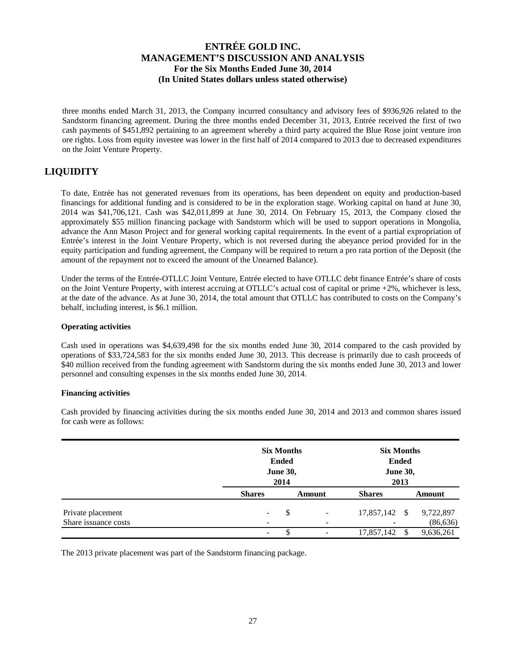three months ended March 31, 2013, the Company incurred consultancy and advisory fees of \$936,926 related to the Sandstorm financing agreement. During the three months ended December 31, 2013, Entrée received the first of two cash payments of \$451,892 pertaining to an agreement whereby a third party acquired the Blue Rose joint venture iron ore rights. Loss from equity investee was lower in the first half of 2014 compared to 2013 due to decreased expenditures on the Joint Venture Property.

# **LIQUIDITY**

To date, Entrée has not generated revenues from its operations, has been dependent on equity and production-based financings for additional funding and is considered to be in the exploration stage. Working capital on hand at June 30, 2014 was \$41,706,121. Cash was \$42,011,899 at June 30, 2014. On February 15, 2013, the Company closed the approximately \$55 million financing package with Sandstorm which will be used to support operations in Mongolia, advance the Ann Mason Project and for general working capital requirements. In the event of a partial expropriation of Entrée's interest in the Joint Venture Property, which is not reversed during the abeyance period provided for in the equity participation and funding agreement, the Company will be required to return a pro rata portion of the Deposit (the amount of the repayment not to exceed the amount of the Unearned Balance).

Under the terms of the Entrée-OTLLC Joint Venture, Entrée elected to have OTLLC debt finance Entrée's share of costs on the Joint Venture Property, with interest accruing at OTLLC's actual cost of capital or prime +2%, whichever is less, at the date of the advance. As at June 30, 2014, the total amount that OTLLC has contributed to costs on the Company's behalf, including interest, is \$6.1 million.

#### **Operating activities**

Cash used in operations was \$4,639,498 for the six months ended June 30, 2014 compared to the cash provided by operations of \$33,724,583 for the six months ended June 30, 2013. This decrease is primarily due to cash proceeds of \$40 million received from the funding agreement with Sandstorm during the six months ended June 30, 2013 and lower personnel and consulting expenses in the six months ended June 30, 2014.

#### **Financing activities**

|                                           |                          | <b>Six Months</b><br><b>Ended</b><br><b>June 30,</b><br>2014 |                                                      |               | <b>Six Months</b><br><b>Ended</b><br><b>June 30,</b><br>2013 |                        |  |
|-------------------------------------------|--------------------------|--------------------------------------------------------------|------------------------------------------------------|---------------|--------------------------------------------------------------|------------------------|--|
|                                           | <b>Shares</b>            |                                                              | Amount                                               | <b>Shares</b> |                                                              | Amount                 |  |
| Private placement<br>Share issuance costs | $\overline{\phantom{a}}$ | \$                                                           | $\overline{\phantom{a}}$<br>$\overline{\phantom{a}}$ | 17,857,142    | - \$                                                         | 9,722,897<br>(86, 636) |  |
|                                           | $\overline{\phantom{a}}$ | \$                                                           |                                                      | 17,857,142    | <sup>\$</sup>                                                | 9,636,261              |  |

Cash provided by financing activities during the six months ended June 30, 2014 and 2013 and common shares issued for cash were as follows:

The 2013 private placement was part of the Sandstorm financing package.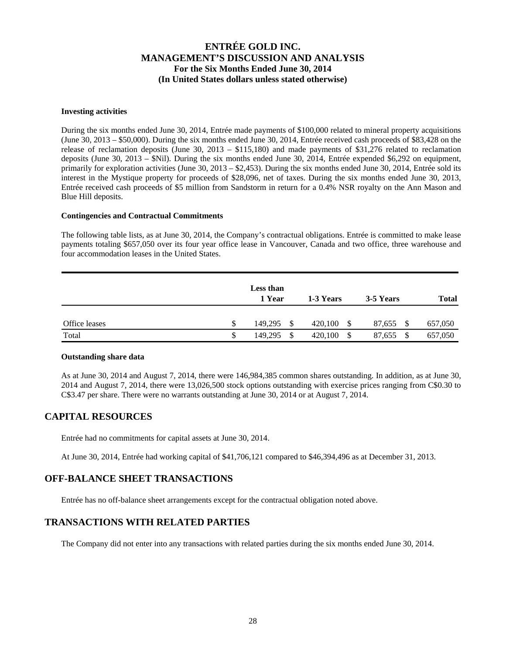#### **Investing activities**

During the six months ended June 30, 2014, Entrée made payments of \$100,000 related to mineral property acquisitions (June 30, 2013 – \$50,000). During the six months ended June 30, 2014, Entrée received cash proceeds of \$83,428 on the release of reclamation deposits (June 30, 2013 – \$115,180) and made payments of \$31,276 related to reclamation deposits (June 30, 2013 – \$Nil). During the six months ended June 30, 2014, Entrée expended \$6,292 on equipment, primarily for exploration activities (June 30, 2013 – \$2,453). During the six months ended June 30, 2014, Entrée sold its interest in the Mystique property for proceeds of \$28,096, net of taxes. During the six months ended June 30, 2013, Entrée received cash proceeds of \$5 million from Sandstorm in return for a 0.4% NSR royalty on the Ann Mason and Blue Hill deposits.

#### **Contingencies and Contractual Commitments**

The following table lists, as at June 30, 2014, the Company's contractual obligations. Entrée is committed to make lease payments totaling \$657,050 over its four year office lease in Vancouver, Canada and two office, three warehouse and four accommodation leases in the United States.

|               |    | <b>Less than</b><br>1 Year | 1-3 Years       | 3-5 Years      | <b>Total</b> |
|---------------|----|----------------------------|-----------------|----------------|--------------|
| Office leases | S  | 149.295<br><sup>\$</sup>   | 420,100<br>- \$ | 87,655<br>- \$ | 657,050      |
| Total         | \$ | -S<br>149,295              | 420,100<br>- \$ | 87,655 \$      | 657,050      |

#### **Outstanding share data**

As at June 30, 2014 and August 7, 2014, there were 146,984,385 common shares outstanding. In addition, as at June 30, 2014 and August 7, 2014, there were 13,026,500 stock options outstanding with exercise prices ranging from C\$0.30 to C\$3.47 per share. There were no warrants outstanding at June 30, 2014 or at August 7, 2014.

## **CAPITAL RESOURCES**

Entrée had no commitments for capital assets at June 30, 2014.

At June 30, 2014, Entrée had working capital of \$41,706,121 compared to \$46,394,496 as at December 31, 2013.

#### **OFF-BALANCE SHEET TRANSACTIONS**

Entrée has no off-balance sheet arrangements except for the contractual obligation noted above.

#### **TRANSACTIONS WITH RELATED PARTIES**

The Company did not enter into any transactions with related parties during the six months ended June 30, 2014.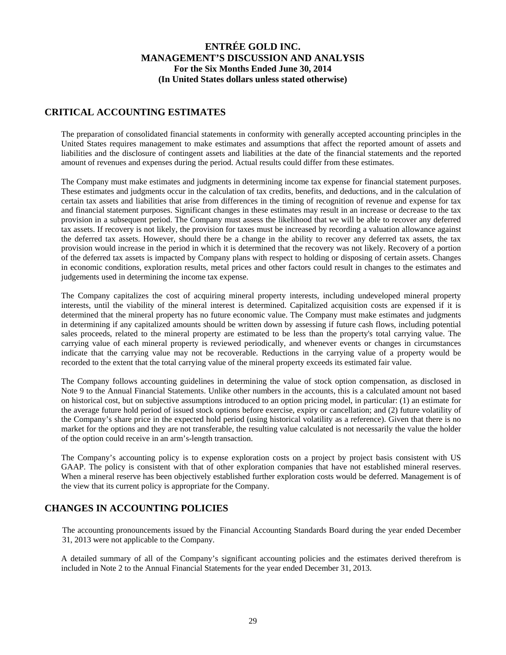### **CRITICAL ACCOUNTING ESTIMATES**

The preparation of consolidated financial statements in conformity with generally accepted accounting principles in the United States requires management to make estimates and assumptions that affect the reported amount of assets and liabilities and the disclosure of contingent assets and liabilities at the date of the financial statements and the reported amount of revenues and expenses during the period. Actual results could differ from these estimates.

The Company must make estimates and judgments in determining income tax expense for financial statement purposes. These estimates and judgments occur in the calculation of tax credits, benefits, and deductions, and in the calculation of certain tax assets and liabilities that arise from differences in the timing of recognition of revenue and expense for tax and financial statement purposes. Significant changes in these estimates may result in an increase or decrease to the tax provision in a subsequent period. The Company must assess the likelihood that we will be able to recover any deferred tax assets. If recovery is not likely, the provision for taxes must be increased by recording a valuation allowance against the deferred tax assets. However, should there be a change in the ability to recover any deferred tax assets, the tax provision would increase in the period in which it is determined that the recovery was not likely. Recovery of a portion of the deferred tax assets is impacted by Company plans with respect to holding or disposing of certain assets. Changes in economic conditions, exploration results, metal prices and other factors could result in changes to the estimates and judgements used in determining the income tax expense.

The Company capitalizes the cost of acquiring mineral property interests, including undeveloped mineral property interests, until the viability of the mineral interest is determined. Capitalized acquisition costs are expensed if it is determined that the mineral property has no future economic value. The Company must make estimates and judgments in determining if any capitalized amounts should be written down by assessing if future cash flows, including potential sales proceeds, related to the mineral property are estimated to be less than the property's total carrying value. The carrying value of each mineral property is reviewed periodically, and whenever events or changes in circumstances indicate that the carrying value may not be recoverable. Reductions in the carrying value of a property would be recorded to the extent that the total carrying value of the mineral property exceeds its estimated fair value.

The Company follows accounting guidelines in determining the value of stock option compensation, as disclosed in Note 9 to the Annual Financial Statements. Unlike other numbers in the accounts, this is a calculated amount not based on historical cost, but on subjective assumptions introduced to an option pricing model, in particular: (1) an estimate for the average future hold period of issued stock options before exercise, expiry or cancellation; and (2) future volatility of the Company's share price in the expected hold period (using historical volatility as a reference). Given that there is no market for the options and they are not transferable, the resulting value calculated is not necessarily the value the holder of the option could receive in an arm's-length transaction.

The Company's accounting policy is to expense exploration costs on a project by project basis consistent with US GAAP. The policy is consistent with that of other exploration companies that have not established mineral reserves. When a mineral reserve has been objectively established further exploration costs would be deferred. Management is of the view that its current policy is appropriate for the Company.

## **CHANGES IN ACCOUNTING POLICIES**

The accounting pronouncements issued by the Financial Accounting Standards Board during the year ended December 31, 2013 were not applicable to the Company.

A detailed summary of all of the Company's significant accounting policies and the estimates derived therefrom is included in Note 2 to the Annual Financial Statements for the year ended December 31, 2013.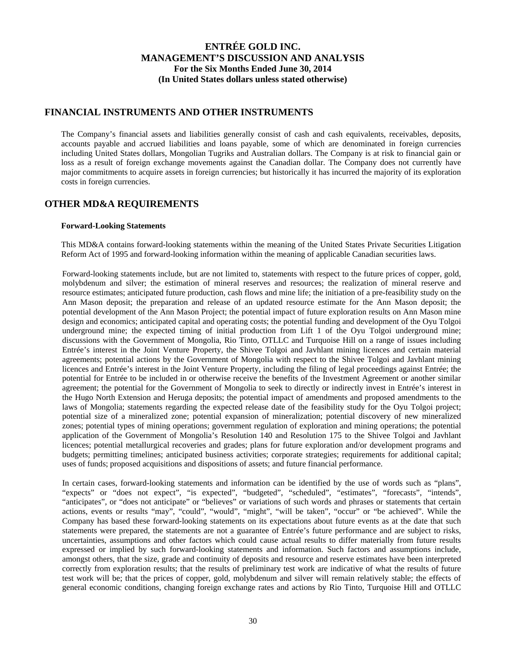#### **FINANCIAL INSTRUMENTS AND OTHER INSTRUMENTS**

The Company's financial assets and liabilities generally consist of cash and cash equivalents, receivables, deposits, accounts payable and accrued liabilities and loans payable, some of which are denominated in foreign currencies including United States dollars, Mongolian Tugriks and Australian dollars. The Company is at risk to financial gain or loss as a result of foreign exchange movements against the Canadian dollar. The Company does not currently have major commitments to acquire assets in foreign currencies; but historically it has incurred the majority of its exploration costs in foreign currencies.

## **OTHER MD&A REQUIREMENTS**

#### **Forward-Looking Statements**

This MD&A contains forward-looking statements within the meaning of the United States Private Securities Litigation Reform Act of 1995 and forward-looking information within the meaning of applicable Canadian securities laws.

Forward-looking statements include, but are not limited to, statements with respect to the future prices of copper, gold, molybdenum and silver; the estimation of mineral reserves and resources; the realization of mineral reserve and resource estimates; anticipated future production, cash flows and mine life; the initiation of a pre-feasibility study on the Ann Mason deposit; the preparation and release of an updated resource estimate for the Ann Mason deposit; the potential development of the Ann Mason Project; the potential impact of future exploration results on Ann Mason mine design and economics; anticipated capital and operating costs; the potential funding and development of the Oyu Tolgoi underground mine; the expected timing of initial production from Lift 1 of the Oyu Tolgoi underground mine; discussions with the Government of Mongolia, Rio Tinto, OTLLC and Turquoise Hill on a range of issues including Entrée's interest in the Joint Venture Property, the Shivee Tolgoi and Javhlant mining licences and certain material agreements; potential actions by the Government of Mongolia with respect to the Shivee Tolgoi and Javhlant mining licences and Entrée's interest in the Joint Venture Property, including the filing of legal proceedings against Entrée; the potential for Entrée to be included in or otherwise receive the benefits of the Investment Agreement or another similar agreement; the potential for the Government of Mongolia to seek to directly or indirectly invest in Entrée's interest in the Hugo North Extension and Heruga deposits; the potential impact of amendments and proposed amendments to the laws of Mongolia; statements regarding the expected release date of the feasibility study for the Oyu Tolgoi project; potential size of a mineralized zone; potential expansion of mineralization; potential discovery of new mineralized zones; potential types of mining operations; government regulation of exploration and mining operations; the potential application of the Government of Mongolia's Resolution 140 and Resolution 175 to the Shivee Tolgoi and Javhlant licences; potential metallurgical recoveries and grades; plans for future exploration and/or development programs and budgets; permitting timelines; anticipated business activities; corporate strategies; requirements for additional capital; uses of funds; proposed acquisitions and dispositions of assets; and future financial performance.

In certain cases, forward-looking statements and information can be identified by the use of words such as "plans", "expects" or "does not expect", "is expected", "budgeted", "scheduled", "estimates", "forecasts", "intends", "anticipates", or "does not anticipate" or "believes" or variations of such words and phrases or statements that certain actions, events or results "may", "could", "would", "might", "will be taken", "occur" or "be achieved". While the Company has based these forward-looking statements on its expectations about future events as at the date that such statements were prepared, the statements are not a guarantee of Entrée's future performance and are subject to risks, uncertainties, assumptions and other factors which could cause actual results to differ materially from future results expressed or implied by such forward-looking statements and information. Such factors and assumptions include, amongst others, that the size, grade and continuity of deposits and resource and reserve estimates have been interpreted correctly from exploration results; that the results of preliminary test work are indicative of what the results of future test work will be; that the prices of copper, gold, molybdenum and silver will remain relatively stable; the effects of general economic conditions, changing foreign exchange rates and actions by Rio Tinto, Turquoise Hill and OTLLC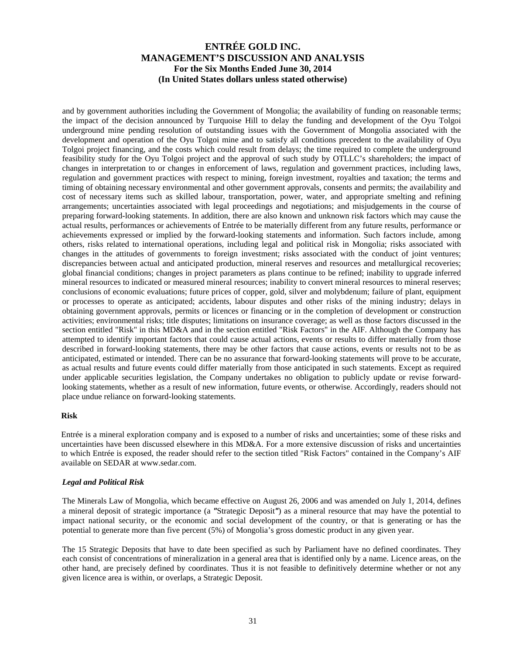and by government authorities including the Government of Mongolia; the availability of funding on reasonable terms; the impact of the decision announced by Turquoise Hill to delay the funding and development of the Oyu Tolgoi underground mine pending resolution of outstanding issues with the Government of Mongolia associated with the development and operation of the Oyu Tolgoi mine and to satisfy all conditions precedent to the availability of Oyu Tolgoi project financing, and the costs which could result from delays; the time required to complete the underground feasibility study for the Oyu Tolgoi project and the approval of such study by OTLLC's shareholders; the impact of changes in interpretation to or changes in enforcement of laws, regulation and government practices, including laws, regulation and government practices with respect to mining, foreign investment, royalties and taxation; the terms and timing of obtaining necessary environmental and other government approvals, consents and permits; the availability and cost of necessary items such as skilled labour, transportation, power, water, and appropriate smelting and refining arrangements; uncertainties associated with legal proceedings and negotiations; and misjudgements in the course of preparing forward-looking statements. In addition, there are also known and unknown risk factors which may cause the actual results, performances or achievements of Entrée to be materially different from any future results, performance or achievements expressed or implied by the forward-looking statements and information. Such factors include, among others, risks related to international operations, including legal and political risk in Mongolia; risks associated with changes in the attitudes of governments to foreign investment; risks associated with the conduct of joint ventures; discrepancies between actual and anticipated production, mineral reserves and resources and metallurgical recoveries; global financial conditions; changes in project parameters as plans continue to be refined; inability to upgrade inferred mineral resources to indicated or measured mineral resources; inability to convert mineral resources to mineral reserves; conclusions of economic evaluations; future prices of copper, gold, silver and molybdenum; failure of plant, equipment or processes to operate as anticipated; accidents, labour disputes and other risks of the mining industry; delays in obtaining government approvals, permits or licences or financing or in the completion of development or construction activities; environmental risks; title disputes; limitations on insurance coverage; as well as those factors discussed in the section entitled "Risk" in this MD&A and in the section entitled "Risk Factors" in the AIF. Although the Company has attempted to identify important factors that could cause actual actions, events or results to differ materially from those described in forward-looking statements, there may be other factors that cause actions, events or results not to be as anticipated, estimated or intended. There can be no assurance that forward-looking statements will prove to be accurate, as actual results and future events could differ materially from those anticipated in such statements. Except as required under applicable securities legislation, the Company undertakes no obligation to publicly update or revise forwardlooking statements, whether as a result of new information, future events, or otherwise. Accordingly, readers should not place undue reliance on forward-looking statements.

#### **Risk**

Entrée is a mineral exploration company and is exposed to a number of risks and uncertainties; some of these risks and uncertainties have been discussed elsewhere in this MD&A. For a more extensive discussion of risks and uncertainties to which Entrée is exposed, the reader should refer to the section titled "Risk Factors" contained in the Company's AIF available on SEDAR at www.sedar.com.

#### *Legal and Political Risk*

The Minerals Law of Mongolia, which became effective on August 26, 2006 and was amended on July 1, 2014, defines a mineral deposit of strategic importance (a *"*Strategic Deposit*"*) as a mineral resource that may have the potential to impact national security, or the economic and social development of the country, or that is generating or has the potential to generate more than five percent (5%) of Mongolia's gross domestic product in any given year.

The 15 Strategic Deposits that have to date been specified as such by Parliament have no defined coordinates. They each consist of concentrations of mineralization in a general area that is identified only by a name. Licence areas, on the other hand, are precisely defined by coordinates. Thus it is not feasible to definitively determine whether or not any given licence area is within, or overlaps, a Strategic Deposit.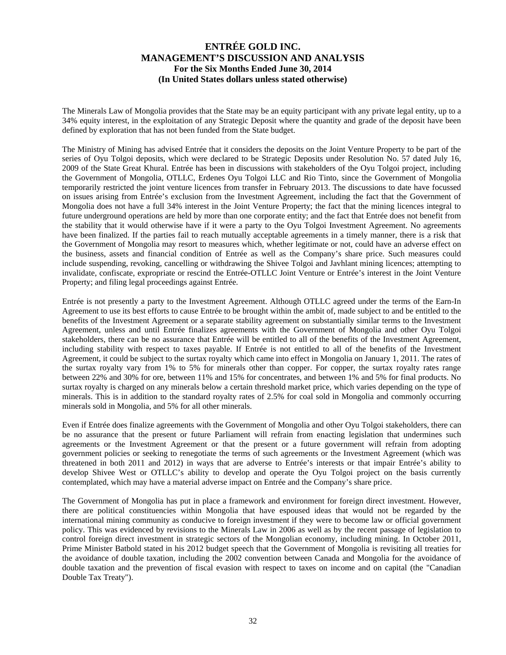The Minerals Law of Mongolia provides that the State may be an equity participant with any private legal entity, up to a 34% equity interest, in the exploitation of any Strategic Deposit where the quantity and grade of the deposit have been defined by exploration that has not been funded from the State budget.

The Ministry of Mining has advised Entrée that it considers the deposits on the Joint Venture Property to be part of the series of Oyu Tolgoi deposits, which were declared to be Strategic Deposits under Resolution No. 57 dated July 16, 2009 of the State Great Khural. Entrée has been in discussions with stakeholders of the Oyu Tolgoi project, including the Government of Mongolia, OTLLC, Erdenes Oyu Tolgoi LLC and Rio Tinto, since the Government of Mongolia temporarily restricted the joint venture licences from transfer in February 2013. The discussions to date have focussed on issues arising from Entrée's exclusion from the Investment Agreement, including the fact that the Government of Mongolia does not have a full 34% interest in the Joint Venture Property; the fact that the mining licences integral to future underground operations are held by more than one corporate entity; and the fact that Entrée does not benefit from the stability that it would otherwise have if it were a party to the Oyu Tolgoi Investment Agreement. No agreements have been finalized. If the parties fail to reach mutually acceptable agreements in a timely manner, there is a risk that the Government of Mongolia may resort to measures which, whether legitimate or not, could have an adverse effect on the business, assets and financial condition of Entrée as well as the Company's share price. Such measures could include suspending, revoking, cancelling or withdrawing the Shivee Tolgoi and Javhlant mining licences; attempting to invalidate, confiscate, expropriate or rescind the Entrée-OTLLC Joint Venture or Entrée's interest in the Joint Venture Property; and filing legal proceedings against Entrée.

Entrée is not presently a party to the Investment Agreement. Although OTLLC agreed under the terms of the Earn-In Agreement to use its best efforts to cause Entrée to be brought within the ambit of, made subject to and be entitled to the benefits of the Investment Agreement or a separate stability agreement on substantially similar terms to the Investment Agreement, unless and until Entrée finalizes agreements with the Government of Mongolia and other Oyu Tolgoi stakeholders, there can be no assurance that Entrée will be entitled to all of the benefits of the Investment Agreement, including stability with respect to taxes payable. If Entrée is not entitled to all of the benefits of the Investment Agreement, it could be subject to the surtax royalty which came into effect in Mongolia on January 1, 2011. The rates of the surtax royalty vary from 1% to 5% for minerals other than copper. For copper, the surtax royalty rates range between 22% and 30% for ore, between 11% and 15% for concentrates, and between 1% and 5% for final products. No surtax royalty is charged on any minerals below a certain threshold market price, which varies depending on the type of minerals. This is in addition to the standard royalty rates of 2.5% for coal sold in Mongolia and commonly occurring minerals sold in Mongolia, and 5% for all other minerals.

Even if Entrée does finalize agreements with the Government of Mongolia and other Oyu Tolgoi stakeholders, there can be no assurance that the present or future Parliament will refrain from enacting legislation that undermines such agreements or the Investment Agreement or that the present or a future government will refrain from adopting government policies or seeking to renegotiate the terms of such agreements or the Investment Agreement (which was threatened in both 2011 and 2012) in ways that are adverse to Entrée's interests or that impair Entrée's ability to develop Shivee West or OTLLC's ability to develop and operate the Oyu Tolgoi project on the basis currently contemplated, which may have a material adverse impact on Entrée and the Company's share price.

The Government of Mongolia has put in place a framework and environment for foreign direct investment. However, there are political constituencies within Mongolia that have espoused ideas that would not be regarded by the international mining community as conducive to foreign investment if they were to become law or official government policy. This was evidenced by revisions to the Minerals Law in 2006 as well as by the recent passage of legislation to control foreign direct investment in strategic sectors of the Mongolian economy, including mining. In October 2011, Prime Minister Batbold stated in his 2012 budget speech that the Government of Mongolia is revisiting all treaties for the avoidance of double taxation, including the 2002 convention between Canada and Mongolia for the avoidance of double taxation and the prevention of fiscal evasion with respect to taxes on income and on capital (the "Canadian Double Tax Treaty").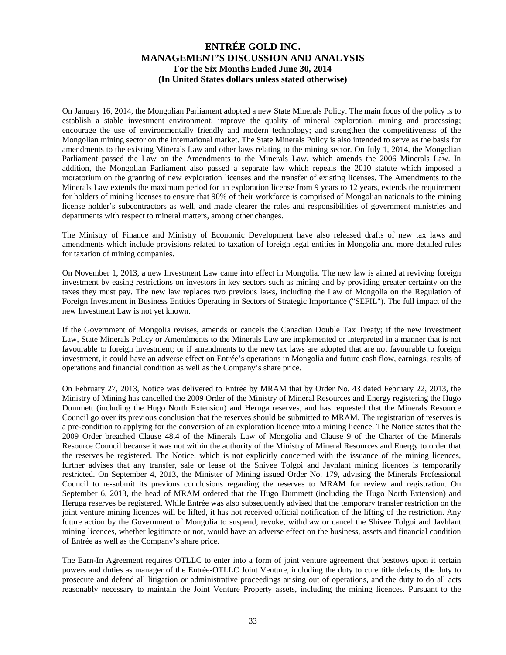On January 16, 2014, the Mongolian Parliament adopted a new State Minerals Policy. The main focus of the policy is to establish a stable investment environment; improve the quality of mineral exploration, mining and processing; encourage the use of environmentally friendly and modern technology; and strengthen the competitiveness of the Mongolian mining sector on the international market. The State Minerals Policy is also intended to serve as the basis for amendments to the existing Minerals Law and other laws relating to the mining sector. On July 1, 2014, the Mongolian Parliament passed the Law on the Amendments to the Minerals Law, which amends the 2006 Minerals Law. In addition, the Mongolian Parliament also passed a separate law which repeals the 2010 statute which imposed a moratorium on the granting of new exploration licenses and the transfer of existing licenses. The Amendments to the Minerals Law extends the maximum period for an exploration license from 9 years to 12 years, extends the requirement for holders of mining licenses to ensure that 90% of their workforce is comprised of Mongolian nationals to the mining license holder's subcontractors as well, and made clearer the roles and responsibilities of government ministries and departments with respect to mineral matters, among other changes.

The Ministry of Finance and Ministry of Economic Development have also released drafts of new tax laws and amendments which include provisions related to taxation of foreign legal entities in Mongolia and more detailed rules for taxation of mining companies.

On November 1, 2013, a new Investment Law came into effect in Mongolia. The new law is aimed at reviving foreign investment by easing restrictions on investors in key sectors such as mining and by providing greater certainty on the taxes they must pay. The new law replaces two previous laws, including the Law of Mongolia on the Regulation of Foreign Investment in Business Entities Operating in Sectors of Strategic Importance ("SEFIL"). The full impact of the new Investment Law is not yet known.

If the Government of Mongolia revises, amends or cancels the Canadian Double Tax Treaty; if the new Investment Law, State Minerals Policy or Amendments to the Minerals Law are implemented or interpreted in a manner that is not favourable to foreign investment; or if amendments to the new tax laws are adopted that are not favourable to foreign investment, it could have an adverse effect on Entrée's operations in Mongolia and future cash flow, earnings, results of operations and financial condition as well as the Company's share price.

On February 27, 2013, Notice was delivered to Entrée by MRAM that by Order No. 43 dated February 22, 2013, the Ministry of Mining has cancelled the 2009 Order of the Ministry of Mineral Resources and Energy registering the Hugo Dummett (including the Hugo North Extension) and Heruga reserves, and has requested that the Minerals Resource Council go over its previous conclusion that the reserves should be submitted to MRAM. The registration of reserves is a pre-condition to applying for the conversion of an exploration licence into a mining licence. The Notice states that the 2009 Order breached Clause 48.4 of the Minerals Law of Mongolia and Clause 9 of the Charter of the Minerals Resource Council because it was not within the authority of the Ministry of Mineral Resources and Energy to order that the reserves be registered. The Notice, which is not explicitly concerned with the issuance of the mining licences, further advises that any transfer, sale or lease of the Shivee Tolgoi and Javhlant mining licences is temporarily restricted. On September 4, 2013, the Minister of Mining issued Order No. 179, advising the Minerals Professional Council to re-submit its previous conclusions regarding the reserves to MRAM for review and registration. On September 6, 2013, the head of MRAM ordered that the Hugo Dummett (including the Hugo North Extension) and Heruga reserves be registered. While Entrée was also subsequently advised that the temporary transfer restriction on the joint venture mining licences will be lifted, it has not received official notification of the lifting of the restriction. Any future action by the Government of Mongolia to suspend, revoke, withdraw or cancel the Shivee Tolgoi and Javhlant mining licences, whether legitimate or not, would have an adverse effect on the business, assets and financial condition of Entrée as well as the Company's share price.

The Earn-In Agreement requires OTLLC to enter into a form of joint venture agreement that bestows upon it certain powers and duties as manager of the Entrée-OTLLC Joint Venture, including the duty to cure title defects, the duty to prosecute and defend all litigation or administrative proceedings arising out of operations, and the duty to do all acts reasonably necessary to maintain the Joint Venture Property assets, including the mining licences. Pursuant to the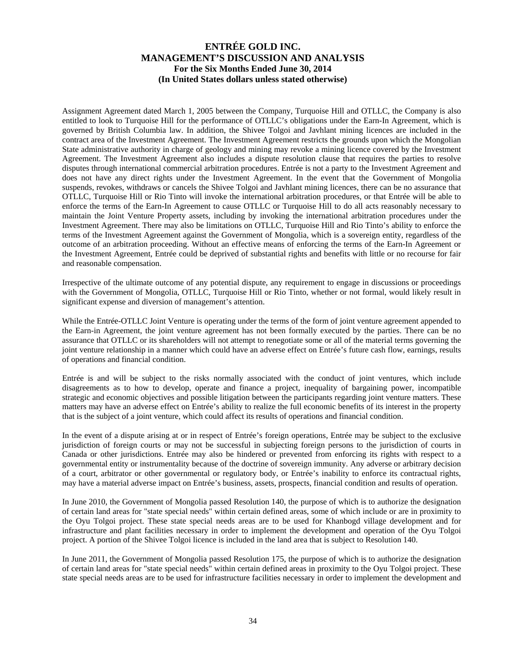Assignment Agreement dated March 1, 2005 between the Company, Turquoise Hill and OTLLC, the Company is also entitled to look to Turquoise Hill for the performance of OTLLC's obligations under the Earn-In Agreement, which is governed by British Columbia law. In addition, the Shivee Tolgoi and Javhlant mining licences are included in the contract area of the Investment Agreement. The Investment Agreement restricts the grounds upon which the Mongolian State administrative authority in charge of geology and mining may revoke a mining licence covered by the Investment Agreement. The Investment Agreement also includes a dispute resolution clause that requires the parties to resolve disputes through international commercial arbitration procedures. Entrée is not a party to the Investment Agreement and does not have any direct rights under the Investment Agreement. In the event that the Government of Mongolia suspends, revokes, withdraws or cancels the Shivee Tolgoi and Javhlant mining licences, there can be no assurance that OTLLC, Turquoise Hill or Rio Tinto will invoke the international arbitration procedures, or that Entrée will be able to enforce the terms of the Earn-In Agreement to cause OTLLC or Turquoise Hill to do all acts reasonably necessary to maintain the Joint Venture Property assets, including by invoking the international arbitration procedures under the Investment Agreement. There may also be limitations on OTLLC, Turquoise Hill and Rio Tinto's ability to enforce the terms of the Investment Agreement against the Government of Mongolia, which is a sovereign entity, regardless of the outcome of an arbitration proceeding. Without an effective means of enforcing the terms of the Earn-In Agreement or the Investment Agreement, Entrée could be deprived of substantial rights and benefits with little or no recourse for fair and reasonable compensation.

Irrespective of the ultimate outcome of any potential dispute, any requirement to engage in discussions or proceedings with the Government of Mongolia, OTLLC, Turquoise Hill or Rio Tinto, whether or not formal, would likely result in significant expense and diversion of management's attention.

While the Entrée-OTLLC Joint Venture is operating under the terms of the form of joint venture agreement appended to the Earn-in Agreement, the joint venture agreement has not been formally executed by the parties. There can be no assurance that OTLLC or its shareholders will not attempt to renegotiate some or all of the material terms governing the joint venture relationship in a manner which could have an adverse effect on Entrée's future cash flow, earnings, results of operations and financial condition.

Entrée is and will be subject to the risks normally associated with the conduct of joint ventures, which include disagreements as to how to develop, operate and finance a project, inequality of bargaining power, incompatible strategic and economic objectives and possible litigation between the participants regarding joint venture matters. These matters may have an adverse effect on Entrée's ability to realize the full economic benefits of its interest in the property that is the subject of a joint venture, which could affect its results of operations and financial condition.

In the event of a dispute arising at or in respect of Entrée's foreign operations, Entrée may be subject to the exclusive jurisdiction of foreign courts or may not be successful in subjecting foreign persons to the jurisdiction of courts in Canada or other jurisdictions. Entrée may also be hindered or prevented from enforcing its rights with respect to a governmental entity or instrumentality because of the doctrine of sovereign immunity. Any adverse or arbitrary decision of a court, arbitrator or other governmental or regulatory body, or Entrée's inability to enforce its contractual rights, may have a material adverse impact on Entrée's business, assets, prospects, financial condition and results of operation.

In June 2010, the Government of Mongolia passed Resolution 140, the purpose of which is to authorize the designation of certain land areas for "state special needs" within certain defined areas, some of which include or are in proximity to the Oyu Tolgoi project. These state special needs areas are to be used for Khanbogd village development and for infrastructure and plant facilities necessary in order to implement the development and operation of the Oyu Tolgoi project. A portion of the Shivee Tolgoi licence is included in the land area that is subject to Resolution 140.

In June 2011, the Government of Mongolia passed Resolution 175, the purpose of which is to authorize the designation of certain land areas for "state special needs" within certain defined areas in proximity to the Oyu Tolgoi project. These state special needs areas are to be used for infrastructure facilities necessary in order to implement the development and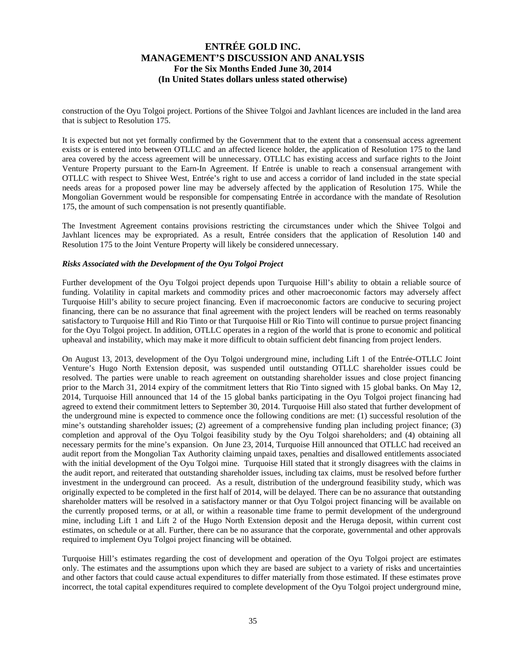construction of the Oyu Tolgoi project. Portions of the Shivee Tolgoi and Javhlant licences are included in the land area that is subject to Resolution 175.

It is expected but not yet formally confirmed by the Government that to the extent that a consensual access agreement exists or is entered into between OTLLC and an affected licence holder, the application of Resolution 175 to the land area covered by the access agreement will be unnecessary. OTLLC has existing access and surface rights to the Joint Venture Property pursuant to the Earn-In Agreement. If Entrée is unable to reach a consensual arrangement with OTLLC with respect to Shivee West, Entrée's right to use and access a corridor of land included in the state special needs areas for a proposed power line may be adversely affected by the application of Resolution 175. While the Mongolian Government would be responsible for compensating Entrée in accordance with the mandate of Resolution 175, the amount of such compensation is not presently quantifiable.

The Investment Agreement contains provisions restricting the circumstances under which the Shivee Tolgoi and Javhlant licences may be expropriated. As a result, Entrée considers that the application of Resolution 140 and Resolution 175 to the Joint Venture Property will likely be considered unnecessary.

#### *Risks Associated with the Development of the Oyu Tolgoi Project*

Further development of the Oyu Tolgoi project depends upon Turquoise Hill's ability to obtain a reliable source of funding. Volatility in capital markets and commodity prices and other macroeconomic factors may adversely affect Turquoise Hill's ability to secure project financing. Even if macroeconomic factors are conducive to securing project financing, there can be no assurance that final agreement with the project lenders will be reached on terms reasonably satisfactory to Turquoise Hill and Rio Tinto or that Turquoise Hill or Rio Tinto will continue to pursue project financing for the Oyu Tolgoi project. In addition, OTLLC operates in a region of the world that is prone to economic and political upheaval and instability, which may make it more difficult to obtain sufficient debt financing from project lenders.

On August 13, 2013, development of the Oyu Tolgoi underground mine, including Lift 1 of the Entrée-OTLLC Joint Venture's Hugo North Extension deposit, was suspended until outstanding OTLLC shareholder issues could be resolved. The parties were unable to reach agreement on outstanding shareholder issues and close project financing prior to the March 31, 2014 expiry of the commitment letters that Rio Tinto signed with 15 global banks. On May 12, 2014, Turquoise Hill announced that 14 of the 15 global banks participating in the Oyu Tolgoi project financing had agreed to extend their commitment letters to September 30, 2014. Turquoise Hill also stated that further development of the underground mine is expected to commence once the following conditions are met: (1) successful resolution of the mine's outstanding shareholder issues; (2) agreement of a comprehensive funding plan including project finance; (3) completion and approval of the Oyu Tolgoi feasibility study by the Oyu Tolgoi shareholders; and (4) obtaining all necessary permits for the mine's expansion. On June 23, 2014, Turquoise Hill announced that OTLLC had received an audit report from the Mongolian Tax Authority claiming unpaid taxes, penalties and disallowed entitlements associated with the initial development of the Oyu Tolgoi mine. Turquoise Hill stated that it strongly disagrees with the claims in the audit report, and reiterated that outstanding shareholder issues, including tax claims, must be resolved before further investment in the underground can proceed. As a result, distribution of the underground feasibility study, which was originally expected to be completed in the first half of 2014, will be delayed. There can be no assurance that outstanding shareholder matters will be resolved in a satisfactory manner or that Oyu Tolgoi project financing will be available on the currently proposed terms, or at all, or within a reasonable time frame to permit development of the underground mine, including Lift 1 and Lift 2 of the Hugo North Extension deposit and the Heruga deposit, within current cost estimates, on schedule or at all. Further, there can be no assurance that the corporate, governmental and other approvals required to implement Oyu Tolgoi project financing will be obtained.

Turquoise Hill's estimates regarding the cost of development and operation of the Oyu Tolgoi project are estimates only. The estimates and the assumptions upon which they are based are subject to a variety of risks and uncertainties and other factors that could cause actual expenditures to differ materially from those estimated. If these estimates prove incorrect, the total capital expenditures required to complete development of the Oyu Tolgoi project underground mine,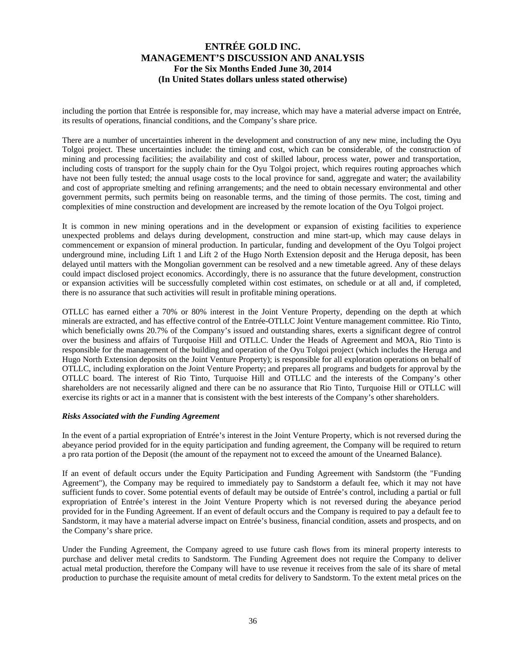including the portion that Entrée is responsible for, may increase, which may have a material adverse impact on Entrée, its results of operations, financial conditions, and the Company's share price.

There are a number of uncertainties inherent in the development and construction of any new mine, including the Oyu Tolgoi project. These uncertainties include: the timing and cost, which can be considerable, of the construction of mining and processing facilities; the availability and cost of skilled labour, process water, power and transportation, including costs of transport for the supply chain for the Oyu Tolgoi project, which requires routing approaches which have not been fully tested; the annual usage costs to the local province for sand, aggregate and water; the availability and cost of appropriate smelting and refining arrangements; and the need to obtain necessary environmental and other government permits, such permits being on reasonable terms, and the timing of those permits. The cost, timing and complexities of mine construction and development are increased by the remote location of the Oyu Tolgoi project.

It is common in new mining operations and in the development or expansion of existing facilities to experience unexpected problems and delays during development, construction and mine start-up, which may cause delays in commencement or expansion of mineral production. In particular, funding and development of the Oyu Tolgoi project underground mine, including Lift 1 and Lift 2 of the Hugo North Extension deposit and the Heruga deposit, has been delayed until matters with the Mongolian government can be resolved and a new timetable agreed. Any of these delays could impact disclosed project economics. Accordingly, there is no assurance that the future development, construction or expansion activities will be successfully completed within cost estimates, on schedule or at all and, if completed, there is no assurance that such activities will result in profitable mining operations.

OTLLC has earned either a 70% or 80% interest in the Joint Venture Property, depending on the depth at which minerals are extracted, and has effective control of the Entrée-OTLLC Joint Venture management committee. Rio Tinto, which beneficially owns 20.7% of the Company's issued and outstanding shares, exerts a significant degree of control over the business and affairs of Turquoise Hill and OTLLC. Under the Heads of Agreement and MOA, Rio Tinto is responsible for the management of the building and operation of the Oyu Tolgoi project (which includes the Heruga and Hugo North Extension deposits on the Joint Venture Property); is responsible for all exploration operations on behalf of OTLLC, including exploration on the Joint Venture Property; and prepares all programs and budgets for approval by the OTLLC board. The interest of Rio Tinto, Turquoise Hill and OTLLC and the interests of the Company's other shareholders are not necessarily aligned and there can be no assurance that Rio Tinto, Turquoise Hill or OTLLC will exercise its rights or act in a manner that is consistent with the best interests of the Company's other shareholders.

#### *Risks Associated with the Funding Agreement*

In the event of a partial expropriation of Entrée's interest in the Joint Venture Property, which is not reversed during the abeyance period provided for in the equity participation and funding agreement, the Company will be required to return a pro rata portion of the Deposit (the amount of the repayment not to exceed the amount of the Unearned Balance).

If an event of default occurs under the Equity Participation and Funding Agreement with Sandstorm (the "Funding Agreement"), the Company may be required to immediately pay to Sandstorm a default fee, which it may not have sufficient funds to cover. Some potential events of default may be outside of Entrée's control, including a partial or full expropriation of Entrée's interest in the Joint Venture Property which is not reversed during the abeyance period provided for in the Funding Agreement. If an event of default occurs and the Company is required to pay a default fee to Sandstorm, it may have a material adverse impact on Entrée's business, financial condition, assets and prospects, and on the Company's share price.

Under the Funding Agreement, the Company agreed to use future cash flows from its mineral property interests to purchase and deliver metal credits to Sandstorm. The Funding Agreement does not require the Company to deliver actual metal production, therefore the Company will have to use revenue it receives from the sale of its share of metal production to purchase the requisite amount of metal credits for delivery to Sandstorm. To the extent metal prices on the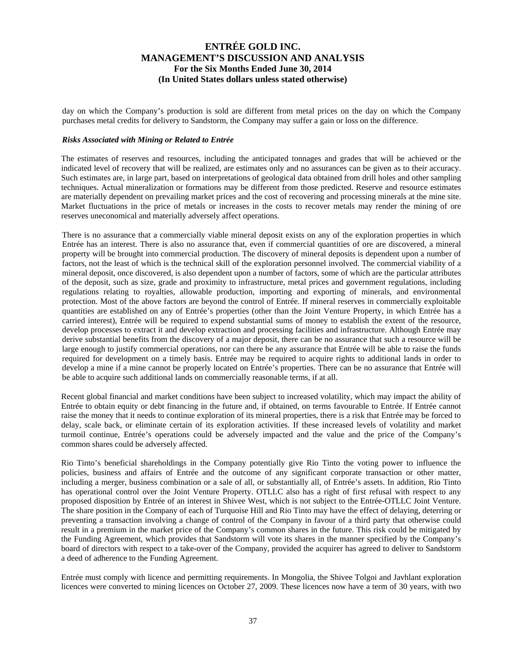day on which the Company's production is sold are different from metal prices on the day on which the Company purchases metal credits for delivery to Sandstorm, the Company may suffer a gain or loss on the difference.

#### *Risks Associated with Mining or Related to Entrée*

The estimates of reserves and resources, including the anticipated tonnages and grades that will be achieved or the indicated level of recovery that will be realized, are estimates only and no assurances can be given as to their accuracy. Such estimates are, in large part, based on interpretations of geological data obtained from drill holes and other sampling techniques. Actual mineralization or formations may be different from those predicted. Reserve and resource estimates are materially dependent on prevailing market prices and the cost of recovering and processing minerals at the mine site. Market fluctuations in the price of metals or increases in the costs to recover metals may render the mining of ore reserves uneconomical and materially adversely affect operations.

There is no assurance that a commercially viable mineral deposit exists on any of the exploration properties in which Entrée has an interest. There is also no assurance that, even if commercial quantities of ore are discovered, a mineral property will be brought into commercial production. The discovery of mineral deposits is dependent upon a number of factors, not the least of which is the technical skill of the exploration personnel involved. The commercial viability of a mineral deposit, once discovered, is also dependent upon a number of factors, some of which are the particular attributes of the deposit, such as size, grade and proximity to infrastructure, metal prices and government regulations, including regulations relating to royalties, allowable production, importing and exporting of minerals, and environmental protection. Most of the above factors are beyond the control of Entrée. If mineral reserves in commercially exploitable quantities are established on any of Entrée's properties (other than the Joint Venture Property, in which Entrée has a carried interest), Entrée will be required to expend substantial sums of money to establish the extent of the resource, develop processes to extract it and develop extraction and processing facilities and infrastructure. Although Entrée may derive substantial benefits from the discovery of a major deposit, there can be no assurance that such a resource will be large enough to justify commercial operations, nor can there be any assurance that Entrée will be able to raise the funds required for development on a timely basis. Entrée may be required to acquire rights to additional lands in order to develop a mine if a mine cannot be properly located on Entrée's properties. There can be no assurance that Entrée will be able to acquire such additional lands on commercially reasonable terms, if at all.

Recent global financial and market conditions have been subject to increased volatility, which may impact the ability of Entrée to obtain equity or debt financing in the future and, if obtained, on terms favourable to Entrée. If Entrée cannot raise the money that it needs to continue exploration of its mineral properties, there is a risk that Entrée may be forced to delay, scale back, or eliminate certain of its exploration activities. If these increased levels of volatility and market turmoil continue, Entrée's operations could be adversely impacted and the value and the price of the Company's common shares could be adversely affected.

Rio Tinto's beneficial shareholdings in the Company potentially give Rio Tinto the voting power to influence the policies, business and affairs of Entrée and the outcome of any significant corporate transaction or other matter, including a merger, business combination or a sale of all, or substantially all, of Entrée's assets. In addition, Rio Tinto has operational control over the Joint Venture Property. OTLLC also has a right of first refusal with respect to any proposed disposition by Entrée of an interest in Shivee West, which is not subject to the Entrée-OTLLC Joint Venture. The share position in the Company of each of Turquoise Hill and Rio Tinto may have the effect of delaying, deterring or preventing a transaction involving a change of control of the Company in favour of a third party that otherwise could result in a premium in the market price of the Company's common shares in the future. This risk could be mitigated by the Funding Agreement, which provides that Sandstorm will vote its shares in the manner specified by the Company's board of directors with respect to a take-over of the Company, provided the acquirer has agreed to deliver to Sandstorm a deed of adherence to the Funding Agreement.

Entrée must comply with licence and permitting requirements. In Mongolia, the Shivee Tolgoi and Javhlant exploration licences were converted to mining licences on October 27, 2009. These licences now have a term of 30 years, with two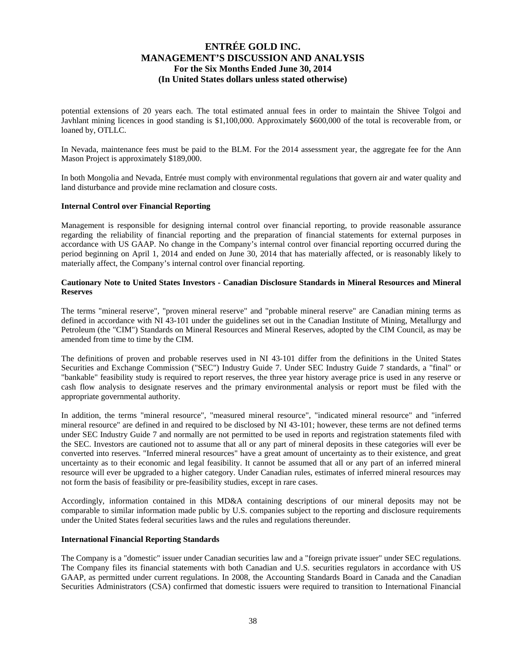potential extensions of 20 years each. The total estimated annual fees in order to maintain the Shivee Tolgoi and Javhlant mining licences in good standing is \$1,100,000. Approximately \$600,000 of the total is recoverable from, or loaned by, OTLLC.

In Nevada, maintenance fees must be paid to the BLM. For the 2014 assessment year, the aggregate fee for the Ann Mason Project is approximately \$189,000.

In both Mongolia and Nevada, Entrée must comply with environmental regulations that govern air and water quality and land disturbance and provide mine reclamation and closure costs.

#### **Internal Control over Financial Reporting**

Management is responsible for designing internal control over financial reporting, to provide reasonable assurance regarding the reliability of financial reporting and the preparation of financial statements for external purposes in accordance with US GAAP. No change in the Company's internal control over financial reporting occurred during the period beginning on April 1, 2014 and ended on June 30, 2014 that has materially affected, or is reasonably likely to materially affect, the Company's internal control over financial reporting.

#### **Cautionary Note to United States Investors - Canadian Disclosure Standards in Mineral Resources and Mineral Reserves**

The terms "mineral reserve", "proven mineral reserve" and "probable mineral reserve" are Canadian mining terms as defined in accordance with NI 43-101 under the guidelines set out in the Canadian Institute of Mining, Metallurgy and Petroleum (the "CIM") Standards on Mineral Resources and Mineral Reserves, adopted by the CIM Council, as may be amended from time to time by the CIM.

The definitions of proven and probable reserves used in NI 43-101 differ from the definitions in the United States Securities and Exchange Commission ("SEC") Industry Guide 7. Under SEC Industry Guide 7 standards, a "final" or "bankable" feasibility study is required to report reserves, the three year history average price is used in any reserve or cash flow analysis to designate reserves and the primary environmental analysis or report must be filed with the appropriate governmental authority.

In addition, the terms "mineral resource", "measured mineral resource", "indicated mineral resource" and "inferred mineral resource" are defined in and required to be disclosed by NI 43-101; however, these terms are not defined terms under SEC Industry Guide 7 and normally are not permitted to be used in reports and registration statements filed with the SEC. Investors are cautioned not to assume that all or any part of mineral deposits in these categories will ever be converted into reserves. "Inferred mineral resources" have a great amount of uncertainty as to their existence, and great uncertainty as to their economic and legal feasibility. It cannot be assumed that all or any part of an inferred mineral resource will ever be upgraded to a higher category. Under Canadian rules, estimates of inferred mineral resources may not form the basis of feasibility or pre-feasibility studies, except in rare cases.

Accordingly, information contained in this MD&A containing descriptions of our mineral deposits may not be comparable to similar information made public by U.S. companies subject to the reporting and disclosure requirements under the United States federal securities laws and the rules and regulations thereunder.

#### **International Financial Reporting Standards**

The Company is a "domestic" issuer under Canadian securities law and a "foreign private issuer" under SEC regulations. The Company files its financial statements with both Canadian and U.S. securities regulators in accordance with US GAAP, as permitted under current regulations. In 2008, the Accounting Standards Board in Canada and the Canadian Securities Administrators (CSA) confirmed that domestic issuers were required to transition to International Financial